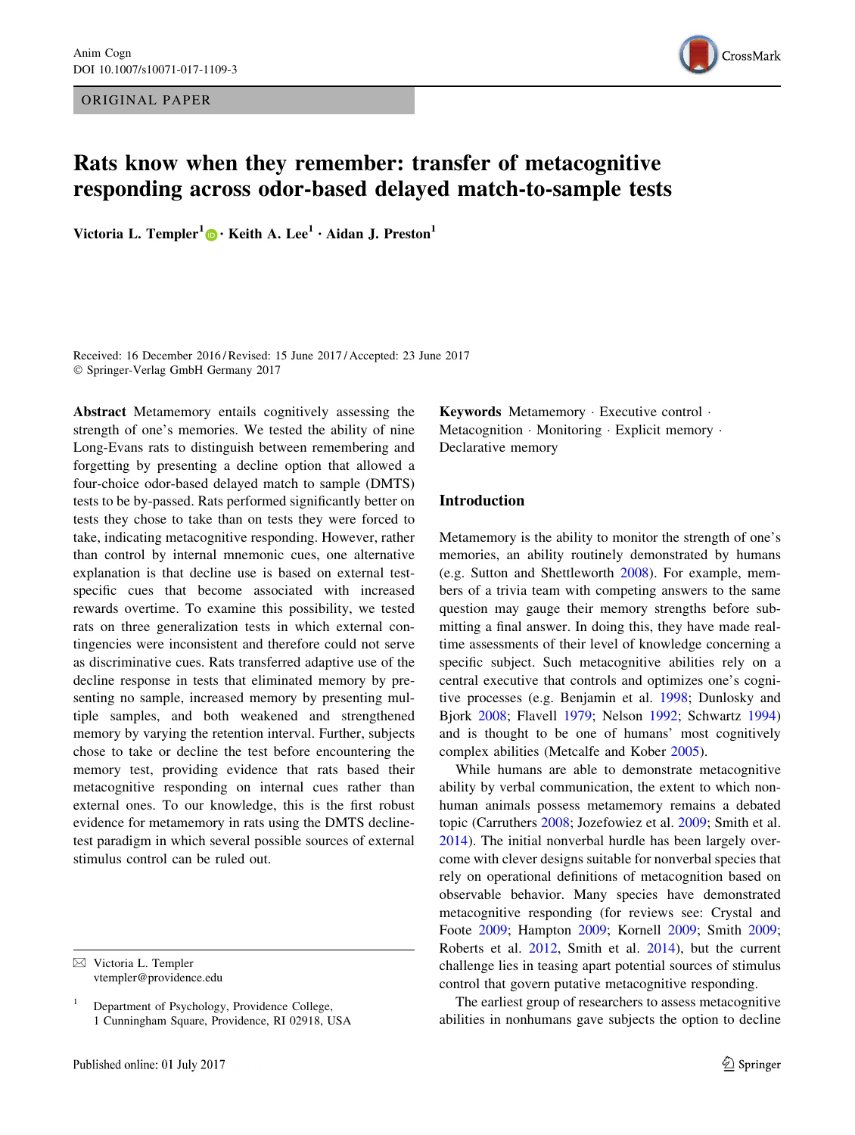ORIGINAL PAPER



# Rats know when they remember: transfer of metacognitive responding across odor-based delayed match-to-sample tests

Victoria L. Templer<sup>1</sup> • Keith A. Lee<sup>1</sup> • Aidan J. Preston<sup>1</sup>

Received: 16 December 2016 / Revised: 15 June 2017 / Accepted: 23 June 2017 - Springer-Verlag GmbH Germany 2017

Abstract Metamemory entails cognitively assessing the strength of one's memories. We tested the ability of nine Long-Evans rats to distinguish between remembering and forgetting by presenting a decline option that allowed a four-choice odor-based delayed match to sample (DMTS) tests to be by-passed. Rats performed significantly better on tests they chose to take than on tests they were forced to take, indicating metacognitive responding. However, rather than control by internal mnemonic cues, one alternative explanation is that decline use is based on external testspecific cues that become associated with increased rewards overtime. To examine this possibility, we tested rats on three generalization tests in which external contingencies were inconsistent and therefore could not serve as discriminative cues. Rats transferred adaptive use of the decline response in tests that eliminated memory by presenting no sample, increased memory by presenting multiple samples, and both weakened and strengthened memory by varying the retention interval. Further, subjects chose to take or decline the test before encountering the memory test, providing evidence that rats based their metacognitive responding on internal cues rather than external ones. To our knowledge, this is the first robust evidence for metamemory in rats using the DMTS declinetest paradigm in which several possible sources of external stimulus control can be ruled out.

Keywords Metamemory - Executive control - Metacognition · Monitoring · Explicit memory · Declarative memory

# Introduction

Metamemory is the ability to monitor the strength of one's memories, an ability routinely demonstrated by humans (e.g. Sutton and Shettleworth [2008](#page-15-0)). For example, members of a trivia team with competing answers to the same question may gauge their memory strengths before submitting a final answer. In doing this, they have made realtime assessments of their level of knowledge concerning a specific subject. Such metacognitive abilities rely on a central executive that controls and optimizes one's cognitive processes (e.g. Benjamin et al. [1998](#page-13-0); Dunlosky and Bjork [2008](#page-13-0); Flavell [1979;](#page-14-0) Nelson [1992](#page-14-0); Schwartz [1994\)](#page-14-0) and is thought to be one of humans' most cognitively complex abilities (Metcalfe and Kober [2005](#page-14-0)).

While humans are able to demonstrate metacognitive ability by verbal communication, the extent to which nonhuman animals possess metamemory remains a debated topic (Carruthers [2008](#page-13-0); Jozefowiez et al. [2009](#page-14-0); Smith et al. [2014](#page-14-0)). The initial nonverbal hurdle has been largely overcome with clever designs suitable for nonverbal species that rely on operational definitions of metacognition based on observable behavior. Many species have demonstrated metacognitive responding (for reviews see: Crystal and Foote [2009;](#page-13-0) Hampton [2009;](#page-14-0) Kornell [2009](#page-14-0); Smith [2009](#page-14-0); Roberts et al. [2012](#page-14-0), Smith et al. [2014\)](#page-14-0), but the current challenge lies in teasing apart potential sources of stimulus control that govern putative metacognitive responding.

The earliest group of researchers to assess metacognitive abilities in nonhumans gave subjects the option to decline

 $\boxtimes$  Victoria L. Templer vtempler@providence.edu

<sup>1</sup> Department of Psychology, Providence College, 1 Cunningham Square, Providence, RI 02918, USA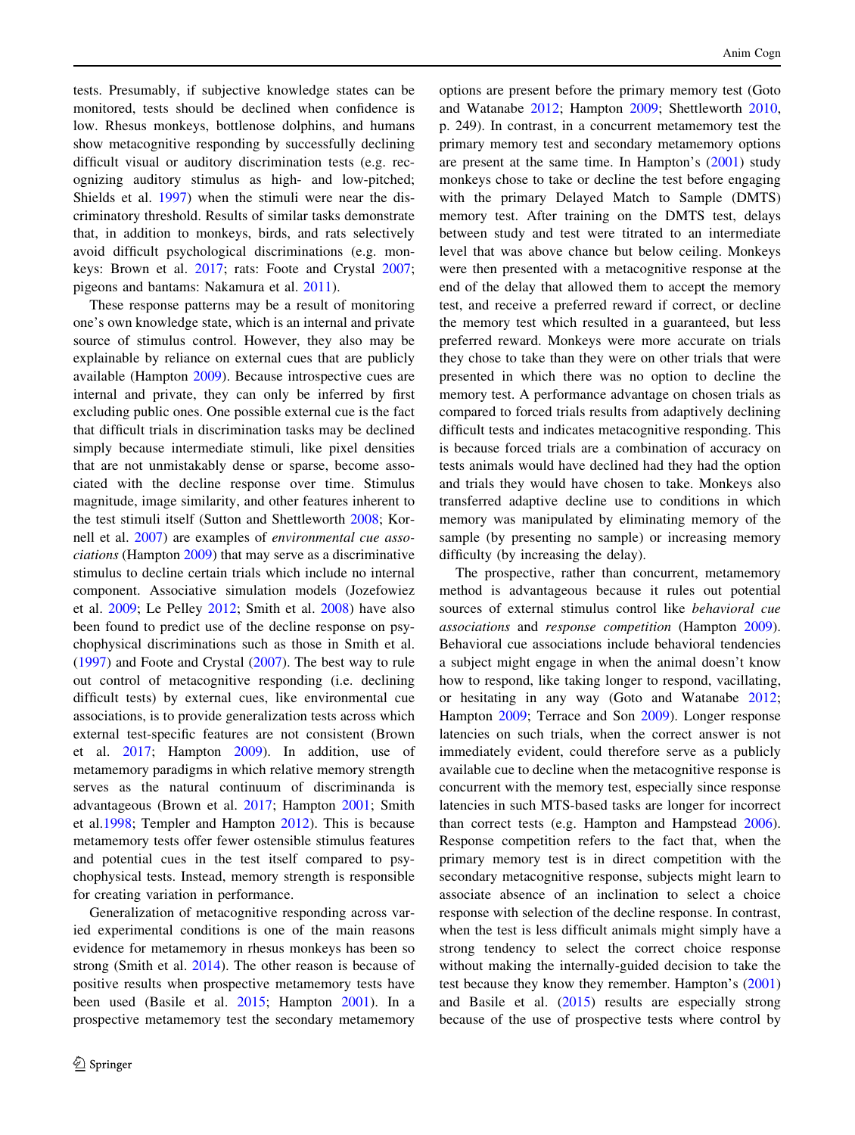tests. Presumably, if subjective knowledge states can be monitored, tests should be declined when confidence is low. Rhesus monkeys, bottlenose dolphins, and humans show metacognitive responding by successfully declining difficult visual or auditory discrimination tests (e.g. recognizing auditory stimulus as high- and low-pitched; Shields et al. [1997](#page-14-0)) when the stimuli were near the discriminatory threshold. Results of similar tasks demonstrate that, in addition to monkeys, birds, and rats selectively avoid difficult psychological discriminations (e.g. monkeys: Brown et al. [2017;](#page-13-0) rats: Foote and Crystal [2007](#page-14-0); pigeons and bantams: Nakamura et al. [2011](#page-14-0)).

These response patterns may be a result of monitoring one's own knowledge state, which is an internal and private source of stimulus control. However, they also may be explainable by reliance on external cues that are publicly available (Hampton [2009\)](#page-14-0). Because introspective cues are internal and private, they can only be inferred by first excluding public ones. One possible external cue is the fact that difficult trials in discrimination tasks may be declined simply because intermediate stimuli, like pixel densities that are not unmistakably dense or sparse, become associated with the decline response over time. Stimulus magnitude, image similarity, and other features inherent to the test stimuli itself (Sutton and Shettleworth [2008](#page-15-0); Kornell et al. [2007\)](#page-14-0) are examples of environmental cue associations (Hampton [2009\)](#page-14-0) that may serve as a discriminative stimulus to decline certain trials which include no internal component. Associative simulation models (Jozefowiez et al. [2009](#page-14-0); Le Pelley [2012;](#page-14-0) Smith et al. [2008](#page-14-0)) have also been found to predict use of the decline response on psychophysical discriminations such as those in Smith et al. [\(1997](#page-14-0)) and Foote and Crystal ([2007\)](#page-14-0). The best way to rule out control of metacognitive responding (i.e. declining difficult tests) by external cues, like environmental cue associations, is to provide generalization tests across which external test-specific features are not consistent (Brown et al. [2017;](#page-13-0) Hampton [2009](#page-14-0)). In addition, use of metamemory paradigms in which relative memory strength serves as the natural continuum of discriminanda is advantageous (Brown et al. [2017;](#page-13-0) Hampton [2001](#page-14-0); Smith et al.[1998;](#page-14-0) Templer and Hampton [2012\)](#page-15-0). This is because metamemory tests offer fewer ostensible stimulus features and potential cues in the test itself compared to psychophysical tests. Instead, memory strength is responsible for creating variation in performance.

Generalization of metacognitive responding across varied experimental conditions is one of the main reasons evidence for metamemory in rhesus monkeys has been so strong (Smith et al. [2014\)](#page-14-0). The other reason is because of positive results when prospective metamemory tests have been used (Basile et al. [2015](#page-13-0); Hampton [2001\)](#page-14-0). In a prospective metamemory test the secondary metamemory options are present before the primary memory test (Goto and Watanabe [2012;](#page-14-0) Hampton [2009;](#page-14-0) Shettleworth [2010,](#page-14-0) p. 249). In contrast, in a concurrent metamemory test the primary memory test and secondary metamemory options are present at the same time. In Hampton's [\(2001](#page-14-0)) study monkeys chose to take or decline the test before engaging with the primary Delayed Match to Sample (DMTS) memory test. After training on the DMTS test, delays between study and test were titrated to an intermediate level that was above chance but below ceiling. Monkeys were then presented with a metacognitive response at the end of the delay that allowed them to accept the memory test, and receive a preferred reward if correct, or decline the memory test which resulted in a guaranteed, but less preferred reward. Monkeys were more accurate on trials they chose to take than they were on other trials that were presented in which there was no option to decline the memory test. A performance advantage on chosen trials as compared to forced trials results from adaptively declining difficult tests and indicates metacognitive responding. This is because forced trials are a combination of accuracy on tests animals would have declined had they had the option and trials they would have chosen to take. Monkeys also transferred adaptive decline use to conditions in which memory was manipulated by eliminating memory of the sample (by presenting no sample) or increasing memory difficulty (by increasing the delay).

The prospective, rather than concurrent, metamemory method is advantageous because it rules out potential sources of external stimulus control like behavioral cue associations and response competition (Hampton [2009](#page-14-0)). Behavioral cue associations include behavioral tendencies a subject might engage in when the animal doesn't know how to respond, like taking longer to respond, vacillating, or hesitating in any way (Goto and Watanabe [2012](#page-14-0); Hampton [2009](#page-14-0); Terrace and Son [2009\)](#page-15-0). Longer response latencies on such trials, when the correct answer is not immediately evident, could therefore serve as a publicly available cue to decline when the metacognitive response is concurrent with the memory test, especially since response latencies in such MTS-based tasks are longer for incorrect than correct tests (e.g. Hampton and Hampstead [2006](#page-14-0)). Response competition refers to the fact that, when the primary memory test is in direct competition with the secondary metacognitive response, subjects might learn to associate absence of an inclination to select a choice response with selection of the decline response. In contrast, when the test is less difficult animals might simply have a strong tendency to select the correct choice response without making the internally-guided decision to take the test because they know they remember. Hampton's ([2001\)](#page-14-0) and Basile et al. ([2015\)](#page-13-0) results are especially strong because of the use of prospective tests where control by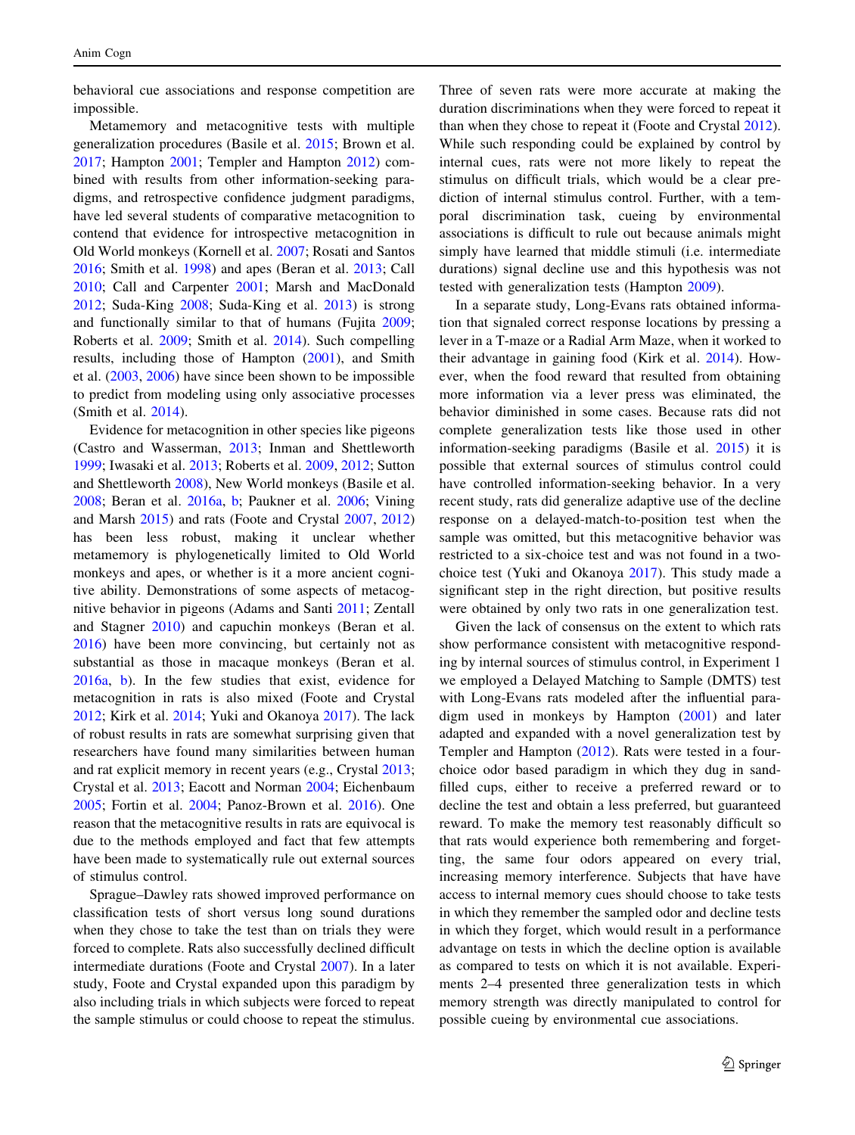behavioral cue associations and response competition are impossible.

Metamemory and metacognitive tests with multiple generalization procedures (Basile et al. [2015;](#page-13-0) Brown et al. [2017;](#page-13-0) Hampton [2001](#page-14-0); Templer and Hampton [2012\)](#page-15-0) combined with results from other information-seeking paradigms, and retrospective confidence judgment paradigms, have led several students of comparative metacognition to contend that evidence for introspective metacognition in Old World monkeys (Kornell et al. [2007;](#page-14-0) Rosati and Santos [2016;](#page-14-0) Smith et al. [1998](#page-14-0)) and apes (Beran et al. [2013](#page-13-0); Call [2010;](#page-13-0) Call and Carpenter [2001](#page-13-0); Marsh and MacDonald [2012;](#page-14-0) Suda-King [2008;](#page-15-0) Suda-King et al. [2013\)](#page-15-0) is strong and functionally similar to that of humans (Fujita [2009](#page-14-0); Roberts et al. [2009;](#page-14-0) Smith et al. [2014](#page-14-0)). Such compelling results, including those of Hampton [\(2001](#page-14-0)), and Smith et al. ([2003,](#page-14-0) [2006\)](#page-14-0) have since been shown to be impossible to predict from modeling using only associative processes (Smith et al. [2014](#page-14-0)).

Evidence for metacognition in other species like pigeons (Castro and Wasserman, [2013;](#page-13-0) Inman and Shettleworth [1999;](#page-14-0) Iwasaki et al. [2013;](#page-14-0) Roberts et al. [2009,](#page-14-0) [2012;](#page-14-0) Sutton and Shettleworth [2008\)](#page-15-0), New World monkeys (Basile et al. [2008;](#page-13-0) Beran et al. [2016a,](#page-13-0) [b](#page-13-0); Paukner et al. [2006;](#page-14-0) Vining and Marsh [2015\)](#page-15-0) and rats (Foote and Crystal [2007,](#page-14-0) [2012\)](#page-14-0) has been less robust, making it unclear whether metamemory is phylogenetically limited to Old World monkeys and apes, or whether is it a more ancient cognitive ability. Demonstrations of some aspects of metacognitive behavior in pigeons (Adams and Santi [2011;](#page-13-0) Zentall and Stagner [2010\)](#page-15-0) and capuchin monkeys (Beran et al. [2016\)](#page-13-0) have been more convincing, but certainly not as substantial as those in macaque monkeys (Beran et al. [2016a](#page-13-0), [b\)](#page-13-0). In the few studies that exist, evidence for metacognition in rats is also mixed (Foote and Crystal [2012;](#page-14-0) Kirk et al. [2014;](#page-14-0) Yuki and Okanoya [2017](#page-15-0)). The lack of robust results in rats are somewhat surprising given that researchers have found many similarities between human and rat explicit memory in recent years (e.g., Crystal [2013](#page-13-0); Crystal et al. [2013;](#page-13-0) Eacott and Norman [2004](#page-13-0); Eichenbaum [2005;](#page-14-0) Fortin et al. [2004;](#page-14-0) Panoz-Brown et al. [2016\)](#page-14-0). One reason that the metacognitive results in rats are equivocal is due to the methods employed and fact that few attempts have been made to systematically rule out external sources of stimulus control.

Sprague–Dawley rats showed improved performance on classification tests of short versus long sound durations when they chose to take the test than on trials they were forced to complete. Rats also successfully declined difficult intermediate durations (Foote and Crystal [2007](#page-14-0)). In a later study, Foote and Crystal expanded upon this paradigm by also including trials in which subjects were forced to repeat the sample stimulus or could choose to repeat the stimulus.

Three of seven rats were more accurate at making the duration discriminations when they were forced to repeat it than when they chose to repeat it (Foote and Crystal [2012](#page-14-0)). While such responding could be explained by control by internal cues, rats were not more likely to repeat the stimulus on difficult trials, which would be a clear prediction of internal stimulus control. Further, with a temporal discrimination task, cueing by environmental associations is difficult to rule out because animals might simply have learned that middle stimuli (i.e. intermediate durations) signal decline use and this hypothesis was not tested with generalization tests (Hampton [2009](#page-14-0)).

In a separate study, Long-Evans rats obtained information that signaled correct response locations by pressing a lever in a T-maze or a Radial Arm Maze, when it worked to their advantage in gaining food (Kirk et al. [2014\)](#page-14-0). However, when the food reward that resulted from obtaining more information via a lever press was eliminated, the behavior diminished in some cases. Because rats did not complete generalization tests like those used in other information-seeking paradigms (Basile et al. [2015\)](#page-13-0) it is possible that external sources of stimulus control could have controlled information-seeking behavior. In a very recent study, rats did generalize adaptive use of the decline response on a delayed-match-to-position test when the sample was omitted, but this metacognitive behavior was restricted to a six-choice test and was not found in a twochoice test (Yuki and Okanoya [2017](#page-15-0)). This study made a significant step in the right direction, but positive results were obtained by only two rats in one generalization test.

Given the lack of consensus on the extent to which rats show performance consistent with metacognitive responding by internal sources of stimulus control, in Experiment 1 we employed a Delayed Matching to Sample (DMTS) test with Long-Evans rats modeled after the influential paradigm used in monkeys by Hampton [\(2001](#page-14-0)) and later adapted and expanded with a novel generalization test by Templer and Hampton [\(2012](#page-15-0)). Rats were tested in a fourchoice odor based paradigm in which they dug in sandfilled cups, either to receive a preferred reward or to decline the test and obtain a less preferred, but guaranteed reward. To make the memory test reasonably difficult so that rats would experience both remembering and forgetting, the same four odors appeared on every trial, increasing memory interference. Subjects that have have access to internal memory cues should choose to take tests in which they remember the sampled odor and decline tests in which they forget, which would result in a performance advantage on tests in which the decline option is available as compared to tests on which it is not available. Experiments 2–4 presented three generalization tests in which memory strength was directly manipulated to control for possible cueing by environmental cue associations.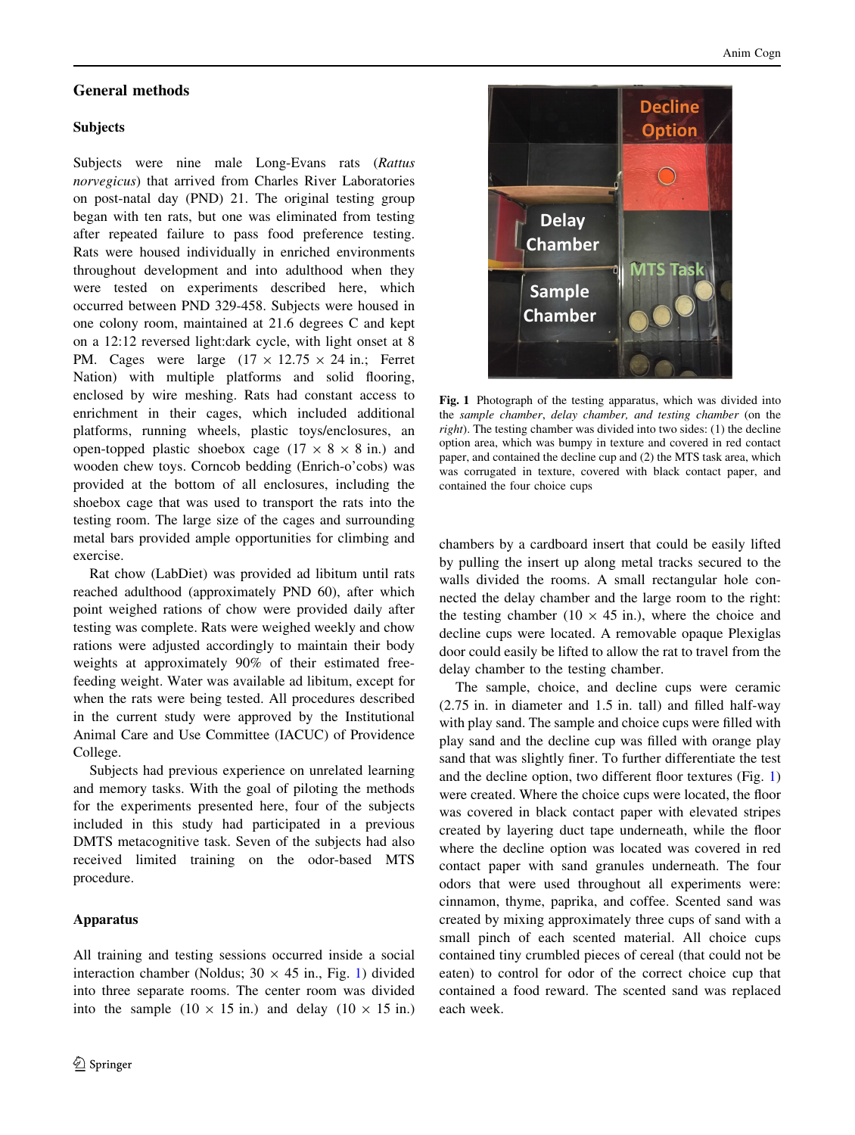# General methods

# Subjects

Subjects were nine male Long-Evans rats (Rattus norvegicus) that arrived from Charles River Laboratories on post-natal day (PND) 21. The original testing group began with ten rats, but one was eliminated from testing after repeated failure to pass food preference testing. Rats were housed individually in enriched environments throughout development and into adulthood when they were tested on experiments described here, which occurred between PND 329-458. Subjects were housed in one colony room, maintained at 21.6 degrees C and kept on a 12:12 reversed light:dark cycle, with light onset at 8 PM. Cages were large  $(17 \times 12.75 \times 24 \text{ in.}; \text{Ferret})$ Nation) with multiple platforms and solid flooring, enclosed by wire meshing. Rats had constant access to enrichment in their cages, which included additional platforms, running wheels, plastic toys/enclosures, an open-topped plastic shoebox cage  $(17 \times 8 \times 8 \text{ in.})$  and wooden chew toys. Corncob bedding (Enrich-o'cobs) was provided at the bottom of all enclosures, including the shoebox cage that was used to transport the rats into the testing room. The large size of the cages and surrounding metal bars provided ample opportunities for climbing and exercise.

Rat chow (LabDiet) was provided ad libitum until rats reached adulthood (approximately PND 60), after which point weighed rations of chow were provided daily after testing was complete. Rats were weighed weekly and chow rations were adjusted accordingly to maintain their body weights at approximately 90% of their estimated freefeeding weight. Water was available ad libitum, except for when the rats were being tested. All procedures described in the current study were approved by the Institutional Animal Care and Use Committee (IACUC) of Providence College.

Subjects had previous experience on unrelated learning and memory tasks. With the goal of piloting the methods for the experiments presented here, four of the subjects included in this study had participated in a previous DMTS metacognitive task. Seven of the subjects had also received limited training on the odor-based MTS procedure.

# Apparatus



Fig. 1 Photograph of the testing apparatus, which was divided into the sample chamber, delay chamber, and testing chamber (on the right). The testing chamber was divided into two sides: (1) the decline option area, which was bumpy in texture and covered in red contact paper, and contained the decline cup and (2) the MTS task area, which was corrugated in texture, covered with black contact paper, and contained the four choice cups

chambers by a cardboard insert that could be easily lifted by pulling the insert up along metal tracks secured to the walls divided the rooms. A small rectangular hole connected the delay chamber and the large room to the right: the testing chamber (10  $\times$  45 in.), where the choice and decline cups were located. A removable opaque Plexiglas door could easily be lifted to allow the rat to travel from the delay chamber to the testing chamber.

The sample, choice, and decline cups were ceramic (2.75 in. in diameter and 1.5 in. tall) and filled half-way with play sand. The sample and choice cups were filled with play sand and the decline cup was filled with orange play sand that was slightly finer. To further differentiate the test and the decline option, two different floor textures (Fig. 1) were created. Where the choice cups were located, the floor was covered in black contact paper with elevated stripes created by layering duct tape underneath, while the floor where the decline option was located was covered in red contact paper with sand granules underneath. The four odors that were used throughout all experiments were: cinnamon, thyme, paprika, and coffee. Scented sand was created by mixing approximately three cups of sand with a small pinch of each scented material. All choice cups contained tiny crumbled pieces of cereal (that could not be eaten) to control for odor of the correct choice cup that contained a food reward. The scented sand was replaced each week.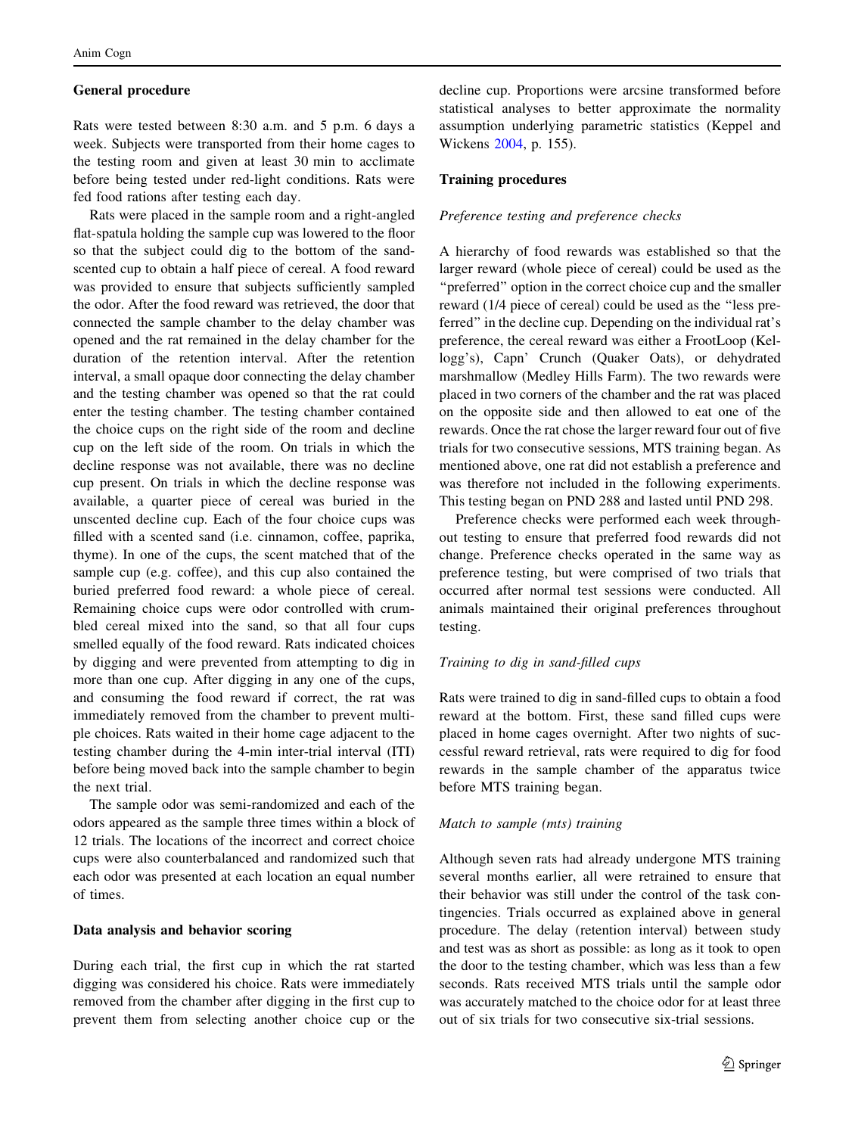### General procedure

Rats were tested between 8:30 a.m. and 5 p.m. 6 days a week. Subjects were transported from their home cages to the testing room and given at least 30 min to acclimate before being tested under red-light conditions. Rats were fed food rations after testing each day.

Rats were placed in the sample room and a right-angled flat-spatula holding the sample cup was lowered to the floor so that the subject could dig to the bottom of the sandscented cup to obtain a half piece of cereal. A food reward was provided to ensure that subjects sufficiently sampled the odor. After the food reward was retrieved, the door that connected the sample chamber to the delay chamber was opened and the rat remained in the delay chamber for the duration of the retention interval. After the retention interval, a small opaque door connecting the delay chamber and the testing chamber was opened so that the rat could enter the testing chamber. The testing chamber contained the choice cups on the right side of the room and decline cup on the left side of the room. On trials in which the decline response was not available, there was no decline cup present. On trials in which the decline response was available, a quarter piece of cereal was buried in the unscented decline cup. Each of the four choice cups was filled with a scented sand (i.e. cinnamon, coffee, paprika, thyme). In one of the cups, the scent matched that of the sample cup (e.g. coffee), and this cup also contained the buried preferred food reward: a whole piece of cereal. Remaining choice cups were odor controlled with crumbled cereal mixed into the sand, so that all four cups smelled equally of the food reward. Rats indicated choices by digging and were prevented from attempting to dig in more than one cup. After digging in any one of the cups, and consuming the food reward if correct, the rat was immediately removed from the chamber to prevent multiple choices. Rats waited in their home cage adjacent to the testing chamber during the 4-min inter-trial interval (ITI) before being moved back into the sample chamber to begin the next trial.

The sample odor was semi-randomized and each of the odors appeared as the sample three times within a block of 12 trials. The locations of the incorrect and correct choice cups were also counterbalanced and randomized such that each odor was presented at each location an equal number of times.

# Data analysis and behavior scoring

During each trial, the first cup in which the rat started digging was considered his choice. Rats were immediately removed from the chamber after digging in the first cup to prevent them from selecting another choice cup or the decline cup. Proportions were arcsine transformed before statistical analyses to better approximate the normality assumption underlying parametric statistics (Keppel and Wickens [2004](#page-14-0), p. 155).

# Training procedures

#### Preference testing and preference checks

A hierarchy of food rewards was established so that the larger reward (whole piece of cereal) could be used as the ''preferred'' option in the correct choice cup and the smaller reward (1/4 piece of cereal) could be used as the ''less preferred'' in the decline cup. Depending on the individual rat's preference, the cereal reward was either a FrootLoop (Kellogg's), Capn' Crunch (Quaker Oats), or dehydrated marshmallow (Medley Hills Farm). The two rewards were placed in two corners of the chamber and the rat was placed on the opposite side and then allowed to eat one of the rewards. Once the rat chose the larger reward four out of five trials for two consecutive sessions, MTS training began. As mentioned above, one rat did not establish a preference and was therefore not included in the following experiments. This testing began on PND 288 and lasted until PND 298.

Preference checks were performed each week throughout testing to ensure that preferred food rewards did not change. Preference checks operated in the same way as preference testing, but were comprised of two trials that occurred after normal test sessions were conducted. All animals maintained their original preferences throughout testing.

#### Training to dig in sand-filled cups

Rats were trained to dig in sand-filled cups to obtain a food reward at the bottom. First, these sand filled cups were placed in home cages overnight. After two nights of successful reward retrieval, rats were required to dig for food rewards in the sample chamber of the apparatus twice before MTS training began.

#### Match to sample (mts) training

Although seven rats had already undergone MTS training several months earlier, all were retrained to ensure that their behavior was still under the control of the task contingencies. Trials occurred as explained above in general procedure. The delay (retention interval) between study and test was as short as possible: as long as it took to open the door to the testing chamber, which was less than a few seconds. Rats received MTS trials until the sample odor was accurately matched to the choice odor for at least three out of six trials for two consecutive six-trial sessions.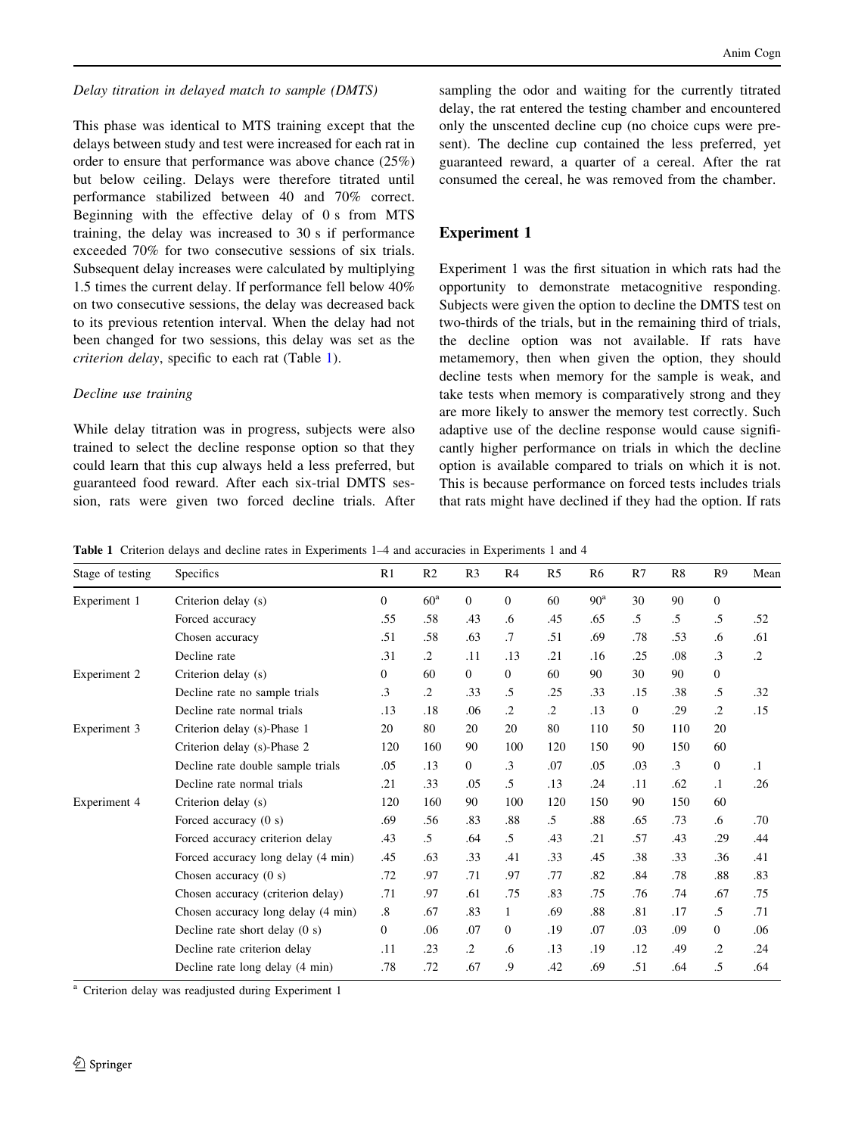<span id="page-5-0"></span>Delay titration in delayed match to sample (DMTS)

This phase was identical to MTS training except that the delays between study and test were increased for each rat in order to ensure that performance was above chance (25%) but below ceiling. Delays were therefore titrated until performance stabilized between 40 and 70% correct. Beginning with the effective delay of 0 s from MTS training, the delay was increased to 30 s if performance exceeded 70% for two consecutive sessions of six trials. Subsequent delay increases were calculated by multiplying 1.5 times the current delay. If performance fell below 40% on two consecutive sessions, the delay was decreased back to its previous retention interval. When the delay had not been changed for two sessions, this delay was set as the criterion delay, specific to each rat (Table 1).

# Decline use training

While delay titration was in progress, subjects were also trained to select the decline response option so that they could learn that this cup always held a less preferred, but guaranteed food reward. After each six-trial DMTS session, rats were given two forced decline trials. After sampling the odor and waiting for the currently titrated delay, the rat entered the testing chamber and encountered only the unscented decline cup (no choice cups were present). The decline cup contained the less preferred, yet guaranteed reward, a quarter of a cereal. After the rat consumed the cereal, he was removed from the chamber.

# Experiment 1

Experiment 1 was the first situation in which rats had the opportunity to demonstrate metacognitive responding. Subjects were given the option to decline the DMTS test on two-thirds of the trials, but in the remaining third of trials, the decline option was not available. If rats have metamemory, then when given the option, they should decline tests when memory for the sample is weak, and take tests when memory is comparatively strong and they are more likely to answer the memory test correctly. Such adaptive use of the decline response would cause significantly higher performance on trials in which the decline option is available compared to trials on which it is not. This is because performance on forced tests includes trials that rats might have declined if they had the option. If rats

Table 1 Criterion delays and decline rates in Experiments 1–4 and accuracies in Experiments 1 and 4

| Stage of testing | Specifics                          | R1             | R <sub>2</sub> | R <sub>3</sub> | R4             | R <sub>5</sub> | R <sub>6</sub>  | R7           | R8  | R <sub>9</sub>   | Mean      |
|------------------|------------------------------------|----------------|----------------|----------------|----------------|----------------|-----------------|--------------|-----|------------------|-----------|
| Experiment 1     | Criterion delay (s)                | $\Omega$       | $60^{\rm a}$   | $\Omega$       | $\Omega$       | 60             | 90 <sup>a</sup> | 30           | 90  | $\overline{0}$   |           |
|                  | Forced accuracy                    | .55            | .58            | .43            | .6             | .45            | .65             | .5           | .5  | $\cdot$ 5        | .52       |
|                  | Chosen accuracy                    | .51            | .58            | .63            | .7             | .51            | .69             | .78          | .53 | .6               | .61       |
|                  | Decline rate                       | .31            | $\cdot$ .2     | .11            | .13            | .21            | .16             | .25          | .08 | .3               | $\cdot$   |
| Experiment 2     | Criterion delay (s)                | $\overline{0}$ | 60             | $\overline{0}$ | $\overline{0}$ | 60             | 90              | 30           | 90  | $\boldsymbol{0}$ |           |
|                  | Decline rate no sample trials      | .3             | $\cdot$ .2     | .33            | .5             | .25            | .33             | .15          | .38 | .5               | .32       |
|                  | Decline rate normal trials         | .13            | .18            | .06            | $\cdot$ .2     | $\cdot$ .2     | .13             | $\mathbf{0}$ | .29 | $\cdot$ .2       | .15       |
| Experiment 3     | Criterion delay (s)-Phase 1        | 20             | 80             | 20             | 20             | 80             | 110             | 50           | 110 | 20               |           |
|                  | Criterion delay (s)-Phase 2        | 120            | 160            | 90             | 100            | 120            | 150             | 90           | 150 | 60               |           |
|                  | Decline rate double sample trials  | .05            | .13            | $\mathbf{0}$   | $\cdot$ 3      | .07            | .05             | .03          | .3  | $\boldsymbol{0}$ | $\cdot$ 1 |
|                  | Decline rate normal trials         | .21            | .33            | .05            | $.5\,$         | .13            | .24             | .11          | .62 | $\cdot$          | .26       |
| Experiment 4     | Criterion delay (s)                | 120            | 160            | 90             | 100            | 120            | 150             | 90           | 150 | 60               |           |
|                  | Forced accuracy (0 s)              | .69            | .56            | .83            | .88            | .5             | .88             | .65          | .73 | .6               | .70       |
|                  | Forced accuracy criterion delay    | .43            | $\cdot$ .5     | .64            | $.5\,$         | .43            | .21             | .57          | .43 | .29              | .44       |
|                  | Forced accuracy long delay (4 min) | .45            | .63            | .33            | .41            | .33            | .45             | .38          | .33 | .36              | .41       |
|                  | Chosen accuracy $(0 s)$            | .72            | .97            | .71            | .97            | .77            | .82             | .84          | .78 | .88              | .83       |
|                  | Chosen accuracy (criterion delay)  | .71            | .97            | .61            | .75            | .83            | .75             | .76          | .74 | .67              | .75       |
|                  | Chosen accuracy long delay (4 min) | $\cdot$ 8      | .67            | .83            | $\mathbf{1}$   | .69            | .88             | .81          | .17 | $.5\,$           | .71       |
|                  | Decline rate short delay $(0 s)$   | $\overline{0}$ | .06            | .07            | $\overline{0}$ | .19            | .07             | .03          | .09 | $\mathbf{0}$     | .06       |
|                  | Decline rate criterion delay       | .11            | .23            | $\cdot$ .2     | .6             | .13            | .19             | .12          | .49 | $\cdot$          | .24       |
|                  | Decline rate long delay (4 min)    | .78            | .72            | .67            | .9             | .42            | .69             | .51          | .64 | .5               | .64       |

<sup>a</sup> Criterion delay was readjusted during Experiment 1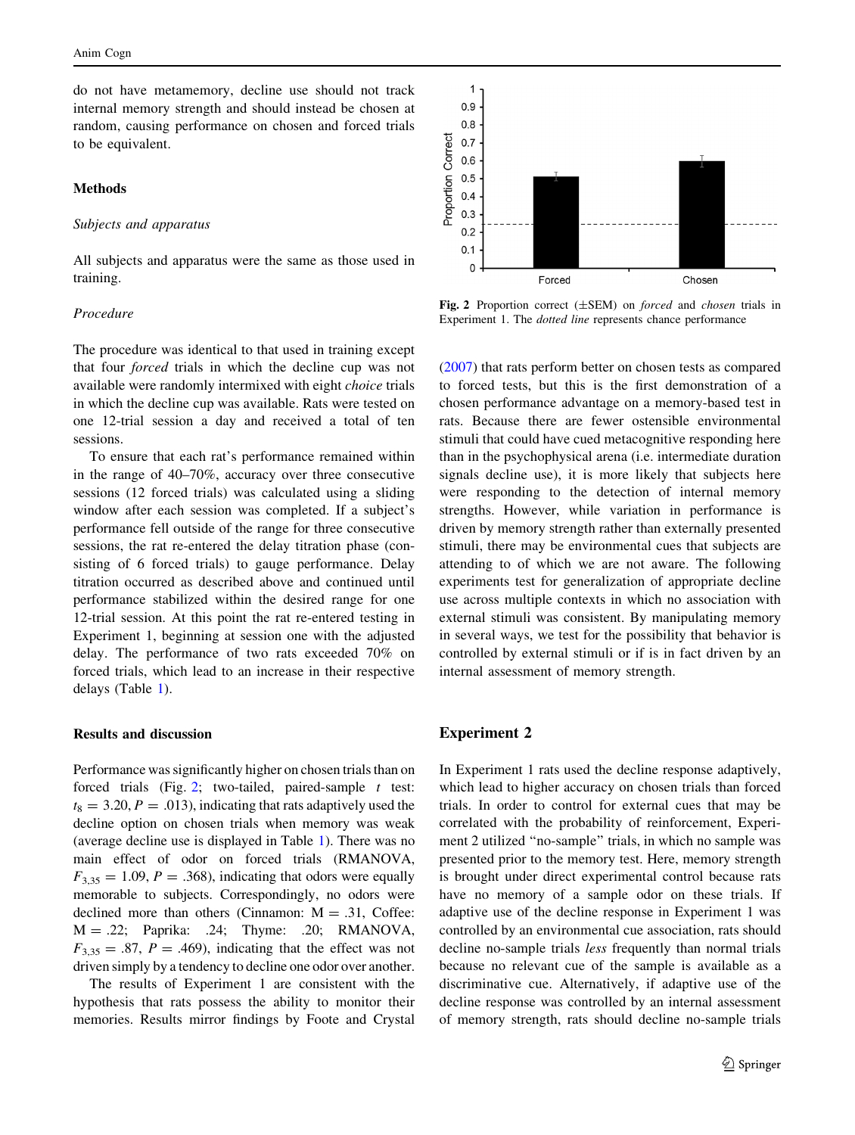do not have metamemory, decline use should not track internal memory strength and should instead be chosen at random, causing performance on chosen and forced trials to be equivalent.

# Methods

## Subjects and apparatus

All subjects and apparatus were the same as those used in training.

## Procedure

The procedure was identical to that used in training except that four forced trials in which the decline cup was not available were randomly intermixed with eight choice trials in which the decline cup was available. Rats were tested on one 12-trial session a day and received a total of ten sessions.

To ensure that each rat's performance remained within in the range of 40–70%, accuracy over three consecutive sessions (12 forced trials) was calculated using a sliding window after each session was completed. If a subject's performance fell outside of the range for three consecutive sessions, the rat re-entered the delay titration phase (consisting of 6 forced trials) to gauge performance. Delay titration occurred as described above and continued until performance stabilized within the desired range for one 12-trial session. At this point the rat re-entered testing in Experiment 1, beginning at session one with the adjusted delay. The performance of two rats exceeded 70% on forced trials, which lead to an increase in their respective delays (Table [1](#page-5-0)).

#### Results and discussion

Performance was significantly higher on chosen trials than on forced trials (Fig. 2; two-tailed, paired-sample  $t$  test:  $t_8 = 3.20, P = .013$ , indicating that rats adaptively used the decline option on chosen trials when memory was weak (average decline use is displayed in Table [1\)](#page-5-0). There was no main effect of odor on forced trials (RMANOVA,  $F_{3,35} = 1.09, P = .368$ , indicating that odors were equally memorable to subjects. Correspondingly, no odors were declined more than others (Cinnamon:  $M = .31$ , Coffee: M = .22; Paprika: .24; Thyme: .20; RMANOVA,  $F_{3,35} = .87$ ,  $P = .469$ ), indicating that the effect was not driven simply by a tendency to decline one odor over another.

The results of Experiment 1 are consistent with the hypothesis that rats possess the ability to monitor their memories. Results mirror findings by Foote and Crystal



Fig. 2 Proportion correct (±SEM) on forced and chosen trials in Experiment 1. The dotted line represents chance performance

[\(2007](#page-14-0)) that rats perform better on chosen tests as compared to forced tests, but this is the first demonstration of a chosen performance advantage on a memory-based test in rats. Because there are fewer ostensible environmental stimuli that could have cued metacognitive responding here than in the psychophysical arena (i.e. intermediate duration signals decline use), it is more likely that subjects here were responding to the detection of internal memory strengths. However, while variation in performance is driven by memory strength rather than externally presented stimuli, there may be environmental cues that subjects are attending to of which we are not aware. The following experiments test for generalization of appropriate decline use across multiple contexts in which no association with external stimuli was consistent. By manipulating memory in several ways, we test for the possibility that behavior is controlled by external stimuli or if is in fact driven by an internal assessment of memory strength.

### Experiment 2

In Experiment 1 rats used the decline response adaptively, which lead to higher accuracy on chosen trials than forced trials. In order to control for external cues that may be correlated with the probability of reinforcement, Experiment 2 utilized "no-sample" trials, in which no sample was presented prior to the memory test. Here, memory strength is brought under direct experimental control because rats have no memory of a sample odor on these trials. If adaptive use of the decline response in Experiment 1 was controlled by an environmental cue association, rats should decline no-sample trials less frequently than normal trials because no relevant cue of the sample is available as a discriminative cue. Alternatively, if adaptive use of the decline response was controlled by an internal assessment of memory strength, rats should decline no-sample trials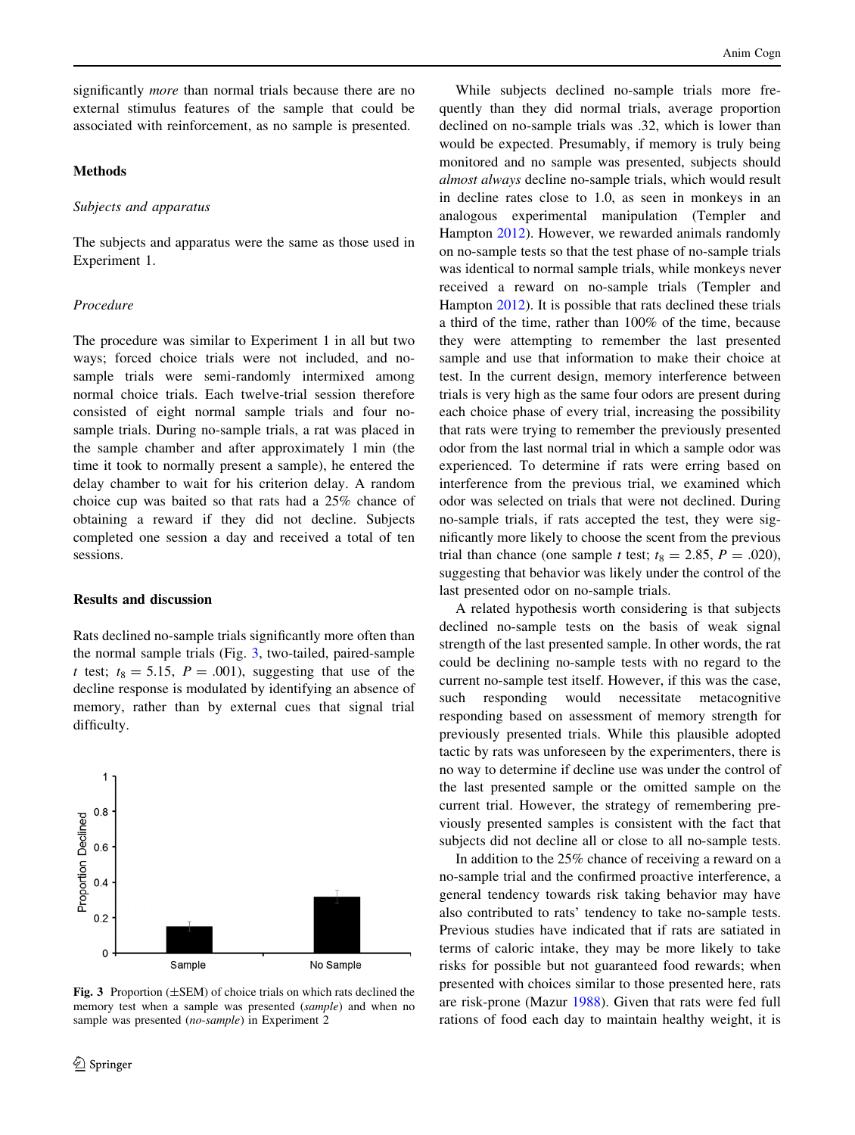significantly *more* than normal trials because there are no external stimulus features of the sample that could be associated with reinforcement, as no sample is presented.

# Methods

#### Subjects and apparatus

The subjects and apparatus were the same as those used in Experiment 1.

#### Procedure

The procedure was similar to Experiment 1 in all but two ways; forced choice trials were not included, and nosample trials were semi-randomly intermixed among normal choice trials. Each twelve-trial session therefore consisted of eight normal sample trials and four nosample trials. During no-sample trials, a rat was placed in the sample chamber and after approximately 1 min (the time it took to normally present a sample), he entered the delay chamber to wait for his criterion delay. A random choice cup was baited so that rats had a 25% chance of obtaining a reward if they did not decline. Subjects completed one session a day and received a total of ten sessions.

#### Results and discussion

Rats declined no-sample trials significantly more often than the normal sample trials (Fig. 3, two-tailed, paired-sample t test;  $t_8 = 5.15$ ,  $P = .001$ ), suggesting that use of the decline response is modulated by identifying an absence of memory, rather than by external cues that signal trial difficulty.



Fig. 3 Proportion  $(\pm$ SEM) of choice trials on which rats declined the memory test when a sample was presented (sample) and when no sample was presented (no-sample) in Experiment 2

While subjects declined no-sample trials more frequently than they did normal trials, average proportion declined on no-sample trials was .32, which is lower than would be expected. Presumably, if memory is truly being monitored and no sample was presented, subjects should almost always decline no-sample trials, which would result in decline rates close to 1.0, as seen in monkeys in an analogous experimental manipulation (Templer and Hampton [2012](#page-15-0)). However, we rewarded animals randomly on no-sample tests so that the test phase of no-sample trials was identical to normal sample trials, while monkeys never received a reward on no-sample trials (Templer and Hampton [2012](#page-15-0)). It is possible that rats declined these trials a third of the time, rather than 100% of the time, because they were attempting to remember the last presented sample and use that information to make their choice at test. In the current design, memory interference between trials is very high as the same four odors are present during each choice phase of every trial, increasing the possibility that rats were trying to remember the previously presented odor from the last normal trial in which a sample odor was experienced. To determine if rats were erring based on interference from the previous trial, we examined which odor was selected on trials that were not declined. During no-sample trials, if rats accepted the test, they were significantly more likely to choose the scent from the previous trial than chance (one sample t test;  $t_8 = 2.85$ ,  $P = .020$ ), suggesting that behavior was likely under the control of the last presented odor on no-sample trials.

A related hypothesis worth considering is that subjects declined no-sample tests on the basis of weak signal strength of the last presented sample. In other words, the rat could be declining no-sample tests with no regard to the current no-sample test itself. However, if this was the case, such responding would necessitate metacognitive responding based on assessment of memory strength for previously presented trials. While this plausible adopted tactic by rats was unforeseen by the experimenters, there is no way to determine if decline use was under the control of the last presented sample or the omitted sample on the current trial. However, the strategy of remembering previously presented samples is consistent with the fact that subjects did not decline all or close to all no-sample tests.

In addition to the 25% chance of receiving a reward on a no-sample trial and the confirmed proactive interference, a general tendency towards risk taking behavior may have also contributed to rats' tendency to take no-sample tests. Previous studies have indicated that if rats are satiated in terms of caloric intake, they may be more likely to take risks for possible but not guaranteed food rewards; when presented with choices similar to those presented here, rats are risk-prone (Mazur [1988\)](#page-14-0). Given that rats were fed full rations of food each day to maintain healthy weight, it is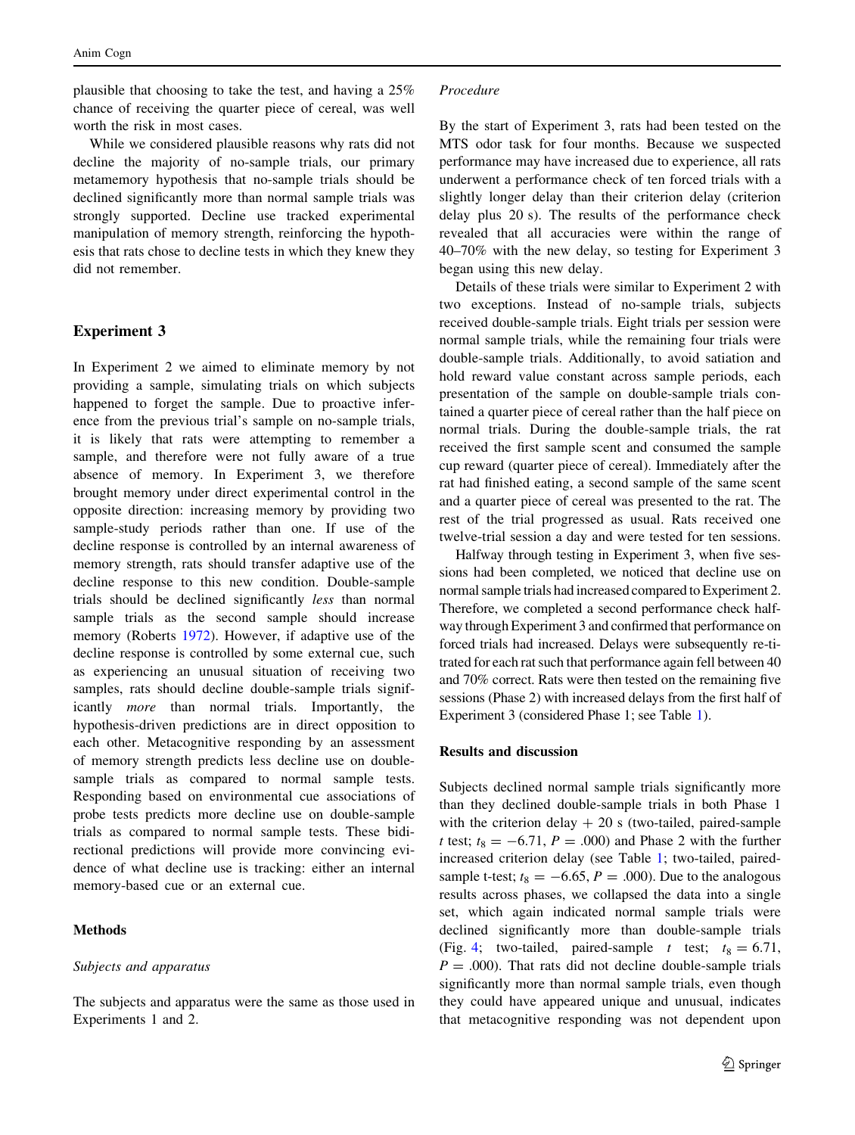plausible that choosing to take the test, and having a 25% chance of receiving the quarter piece of cereal, was well worth the risk in most cases.

While we considered plausible reasons why rats did not decline the majority of no-sample trials, our primary metamemory hypothesis that no-sample trials should be declined significantly more than normal sample trials was strongly supported. Decline use tracked experimental manipulation of memory strength, reinforcing the hypothesis that rats chose to decline tests in which they knew they did not remember.

# Experiment 3

In Experiment 2 we aimed to eliminate memory by not providing a sample, simulating trials on which subjects happened to forget the sample. Due to proactive inference from the previous trial's sample on no-sample trials, it is likely that rats were attempting to remember a sample, and therefore were not fully aware of a true absence of memory. In Experiment 3, we therefore brought memory under direct experimental control in the opposite direction: increasing memory by providing two sample-study periods rather than one. If use of the decline response is controlled by an internal awareness of memory strength, rats should transfer adaptive use of the decline response to this new condition. Double-sample trials should be declined significantly less than normal sample trials as the second sample should increase memory (Roberts [1972\)](#page-14-0). However, if adaptive use of the decline response is controlled by some external cue, such as experiencing an unusual situation of receiving two samples, rats should decline double-sample trials significantly more than normal trials. Importantly, the hypothesis-driven predictions are in direct opposition to each other. Metacognitive responding by an assessment of memory strength predicts less decline use on doublesample trials as compared to normal sample tests. Responding based on environmental cue associations of probe tests predicts more decline use on double-sample trials as compared to normal sample tests. These bidirectional predictions will provide more convincing evidence of what decline use is tracking: either an internal memory-based cue or an external cue.

# Methods

### Subjects and apparatus

The subjects and apparatus were the same as those used in Experiments 1 and 2.

#### Procedure

By the start of Experiment 3, rats had been tested on the MTS odor task for four months. Because we suspected performance may have increased due to experience, all rats underwent a performance check of ten forced trials with a slightly longer delay than their criterion delay (criterion delay plus 20 s). The results of the performance check revealed that all accuracies were within the range of 40–70% with the new delay, so testing for Experiment 3 began using this new delay.

Details of these trials were similar to Experiment 2 with two exceptions. Instead of no-sample trials, subjects received double-sample trials. Eight trials per session were normal sample trials, while the remaining four trials were double-sample trials. Additionally, to avoid satiation and hold reward value constant across sample periods, each presentation of the sample on double-sample trials contained a quarter piece of cereal rather than the half piece on normal trials. During the double-sample trials, the rat received the first sample scent and consumed the sample cup reward (quarter piece of cereal). Immediately after the rat had finished eating, a second sample of the same scent and a quarter piece of cereal was presented to the rat. The rest of the trial progressed as usual. Rats received one twelve-trial session a day and were tested for ten sessions.

Halfway through testing in Experiment 3, when five sessions had been completed, we noticed that decline use on normal sample trials had increased compared to Experiment 2. Therefore, we completed a second performance check halfway through Experiment 3 and confirmed that performance on forced trials had increased. Delays were subsequently re-titrated for each rat such that performance again fell between 40 and 70% correct. Rats were then tested on the remaining five sessions (Phase 2) with increased delays from the first half of Experiment 3 (considered Phase 1; see Table [1](#page-5-0)).

# Results and discussion

Subjects declined normal sample trials significantly more than they declined double-sample trials in both Phase 1 with the criterion delay  $+20$  s (two-tailed, paired-sample t test;  $t_8 = -6.71$ ,  $P = .000$  and Phase 2 with the further increased criterion delay (see Table [1](#page-5-0); two-tailed, pairedsample t-test;  $t_8 = -6.65$ ,  $P = .000$ ). Due to the analogous results across phases, we collapsed the data into a single set, which again indicated normal sample trials were declined significantly more than double-sample trials (Fig. [4;](#page-9-0) two-tailed, paired-sample t test;  $t_8 = 6.71$ ,  $P = .000$ . That rats did not decline double-sample trials significantly more than normal sample trials, even though they could have appeared unique and unusual, indicates that metacognitive responding was not dependent upon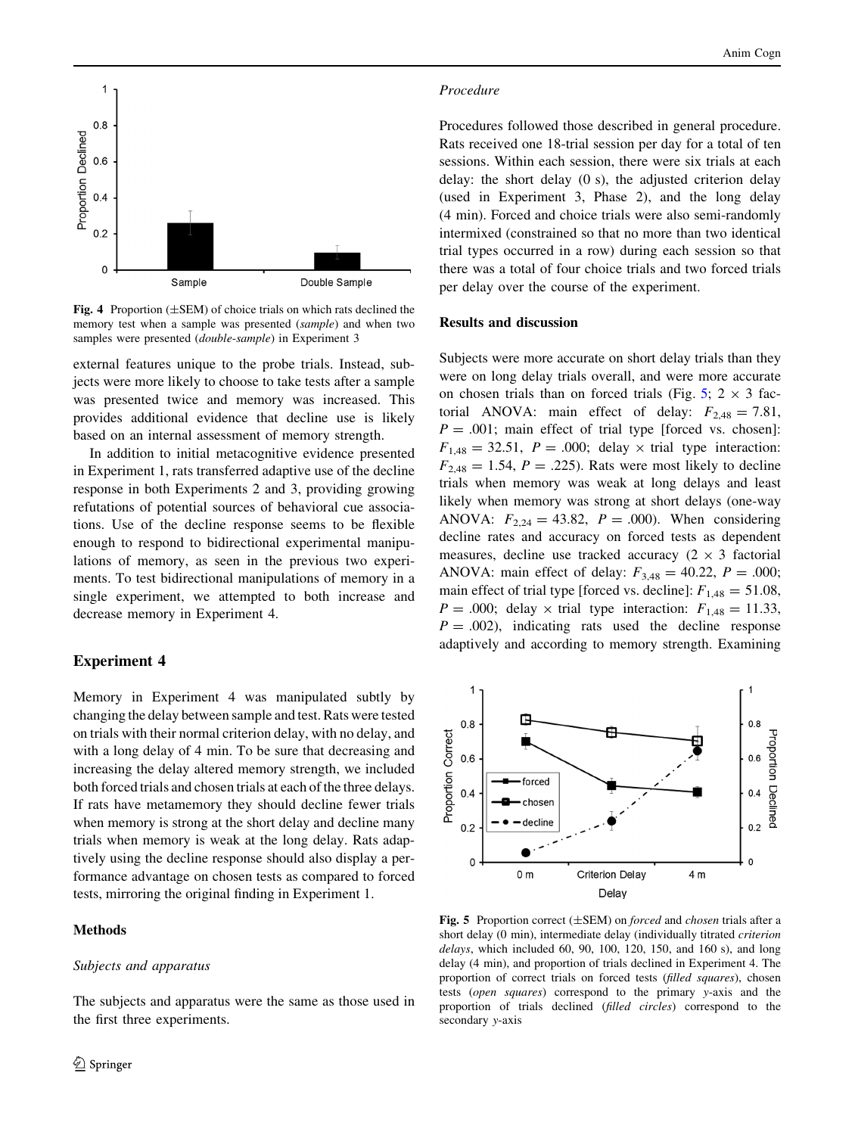<span id="page-9-0"></span>

Fig. 4 Proportion  $(\pm$ SEM) of choice trials on which rats declined the memory test when a sample was presented (sample) and when two samples were presented (double-sample) in Experiment 3

external features unique to the probe trials. Instead, subjects were more likely to choose to take tests after a sample was presented twice and memory was increased. This provides additional evidence that decline use is likely based on an internal assessment of memory strength.

In addition to initial metacognitive evidence presented in Experiment 1, rats transferred adaptive use of the decline response in both Experiments 2 and 3, providing growing refutations of potential sources of behavioral cue associations. Use of the decline response seems to be flexible enough to respond to bidirectional experimental manipulations of memory, as seen in the previous two experiments. To test bidirectional manipulations of memory in a single experiment, we attempted to both increase and decrease memory in Experiment 4.

### Experiment 4

Memory in Experiment 4 was manipulated subtly by changing the delay between sample and test. Rats were tested on trials with their normal criterion delay, with no delay, and with a long delay of 4 min. To be sure that decreasing and increasing the delay altered memory strength, we included both forced trials and chosen trials at each of the three delays. If rats have metamemory they should decline fewer trials when memory is strong at the short delay and decline many trials when memory is weak at the long delay. Rats adaptively using the decline response should also display a performance advantage on chosen tests as compared to forced tests, mirroring the original finding in Experiment 1.

# Methods

#### Subjects and apparatus

The subjects and apparatus were the same as those used in the first three experiments.

#### Procedure

Procedures followed those described in general procedure. Rats received one 18-trial session per day for a total of ten sessions. Within each session, there were six trials at each delay: the short delay (0 s), the adjusted criterion delay (used in Experiment 3, Phase 2), and the long delay (4 min). Forced and choice trials were also semi-randomly intermixed (constrained so that no more than two identical trial types occurred in a row) during each session so that there was a total of four choice trials and two forced trials per delay over the course of the experiment.

#### Results and discussion

Subjects were more accurate on short delay trials than they were on long delay trials overall, and were more accurate on chosen trials than on forced trials (Fig. 5;  $2 \times 3$  factorial ANOVA: main effect of delay:  $F_{2,48} = 7.81$ ,  $P = .001$ ; main effect of trial type [forced vs. chosen]:  $F_{1,48} = 32.51$ ,  $P = .000$ ; delay  $\times$  trial type interaction:  $F_{2,48} = 1.54$ ,  $P = .225$ ). Rats were most likely to decline trials when memory was weak at long delays and least likely when memory was strong at short delays (one-way ANOVA:  $F_{2,24} = 43.82$ ,  $P = .000$ ). When considering decline rates and accuracy on forced tests as dependent measures, decline use tracked accuracy  $(2 \times 3$  factorial ANOVA: main effect of delay:  $F_{3,48} = 40.22$ ,  $P = .000$ ; main effect of trial type [forced vs. decline]:  $F_{1,48} = 51.08$ ,  $P = .000$ ; delay  $\times$  trial type interaction:  $F_{1,48} = 11.33$ ,  $P = .002$ ), indicating rats used the decline response adaptively and according to memory strength. Examining



Fig. 5 Proportion correct ( $\pm$ SEM) on *forced* and *chosen* trials after a short delay (0 min), intermediate delay (individually titrated criterion  $delays$ , which included 60, 90, 100, 120, 150, and 160 s), and long delay (4 min), and proportion of trials declined in Experiment 4. The proportion of correct trials on forced tests (filled squares), chosen tests (open squares) correspond to the primary y-axis and the proportion of trials declined (filled circles) correspond to the secondary y-axis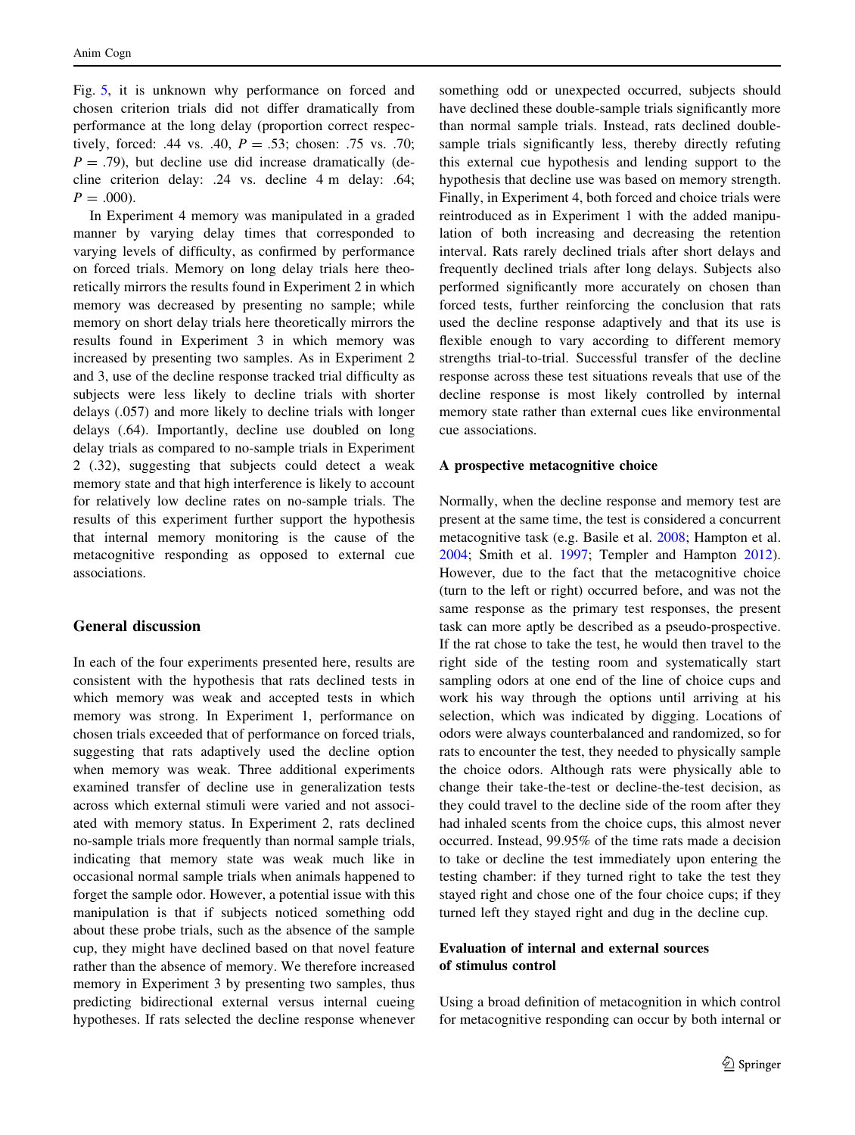Fig. [5](#page-9-0), it is unknown why performance on forced and chosen criterion trials did not differ dramatically from performance at the long delay (proportion correct respectively, forced: .44 vs. .40,  $P = .53$ ; chosen: .75 vs. .70;  $P = .79$ ), but decline use did increase dramatically (decline criterion delay: .24 vs. decline 4 m delay: .64;  $P = .000$ ).

In Experiment 4 memory was manipulated in a graded manner by varying delay times that corresponded to varying levels of difficulty, as confirmed by performance on forced trials. Memory on long delay trials here theoretically mirrors the results found in Experiment 2 in which memory was decreased by presenting no sample; while memory on short delay trials here theoretically mirrors the results found in Experiment 3 in which memory was increased by presenting two samples. As in Experiment 2 and 3, use of the decline response tracked trial difficulty as subjects were less likely to decline trials with shorter delays (.057) and more likely to decline trials with longer delays (.64). Importantly, decline use doubled on long delay trials as compared to no-sample trials in Experiment 2 (.32), suggesting that subjects could detect a weak memory state and that high interference is likely to account for relatively low decline rates on no-sample trials. The results of this experiment further support the hypothesis that internal memory monitoring is the cause of the metacognitive responding as opposed to external cue associations.

# General discussion

In each of the four experiments presented here, results are consistent with the hypothesis that rats declined tests in which memory was weak and accepted tests in which memory was strong. In Experiment 1, performance on chosen trials exceeded that of performance on forced trials, suggesting that rats adaptively used the decline option when memory was weak. Three additional experiments examined transfer of decline use in generalization tests across which external stimuli were varied and not associated with memory status. In Experiment 2, rats declined no-sample trials more frequently than normal sample trials, indicating that memory state was weak much like in occasional normal sample trials when animals happened to forget the sample odor. However, a potential issue with this manipulation is that if subjects noticed something odd about these probe trials, such as the absence of the sample cup, they might have declined based on that novel feature rather than the absence of memory. We therefore increased memory in Experiment 3 by presenting two samples, thus predicting bidirectional external versus internal cueing hypotheses. If rats selected the decline response whenever something odd or unexpected occurred, subjects should have declined these double-sample trials significantly more than normal sample trials. Instead, rats declined doublesample trials significantly less, thereby directly refuting this external cue hypothesis and lending support to the hypothesis that decline use was based on memory strength. Finally, in Experiment 4, both forced and choice trials were reintroduced as in Experiment 1 with the added manipulation of both increasing and decreasing the retention interval. Rats rarely declined trials after short delays and frequently declined trials after long delays. Subjects also performed significantly more accurately on chosen than forced tests, further reinforcing the conclusion that rats used the decline response adaptively and that its use is flexible enough to vary according to different memory strengths trial-to-trial. Successful transfer of the decline response across these test situations reveals that use of the decline response is most likely controlled by internal memory state rather than external cues like environmental cue associations.

#### A prospective metacognitive choice

Normally, when the decline response and memory test are present at the same time, the test is considered a concurrent metacognitive task (e.g. Basile et al. [2008;](#page-13-0) Hampton et al. [2004](#page-14-0); Smith et al. [1997;](#page-14-0) Templer and Hampton [2012](#page-15-0)). However, due to the fact that the metacognitive choice (turn to the left or right) occurred before, and was not the same response as the primary test responses, the present task can more aptly be described as a pseudo-prospective. If the rat chose to take the test, he would then travel to the right side of the testing room and systematically start sampling odors at one end of the line of choice cups and work his way through the options until arriving at his selection, which was indicated by digging. Locations of odors were always counterbalanced and randomized, so for rats to encounter the test, they needed to physically sample the choice odors. Although rats were physically able to change their take-the-test or decline-the-test decision, as they could travel to the decline side of the room after they had inhaled scents from the choice cups, this almost never occurred. Instead, 99.95% of the time rats made a decision to take or decline the test immediately upon entering the testing chamber: if they turned right to take the test they stayed right and chose one of the four choice cups; if they turned left they stayed right and dug in the decline cup.

# Evaluation of internal and external sources of stimulus control

Using a broad definition of metacognition in which control for metacognitive responding can occur by both internal or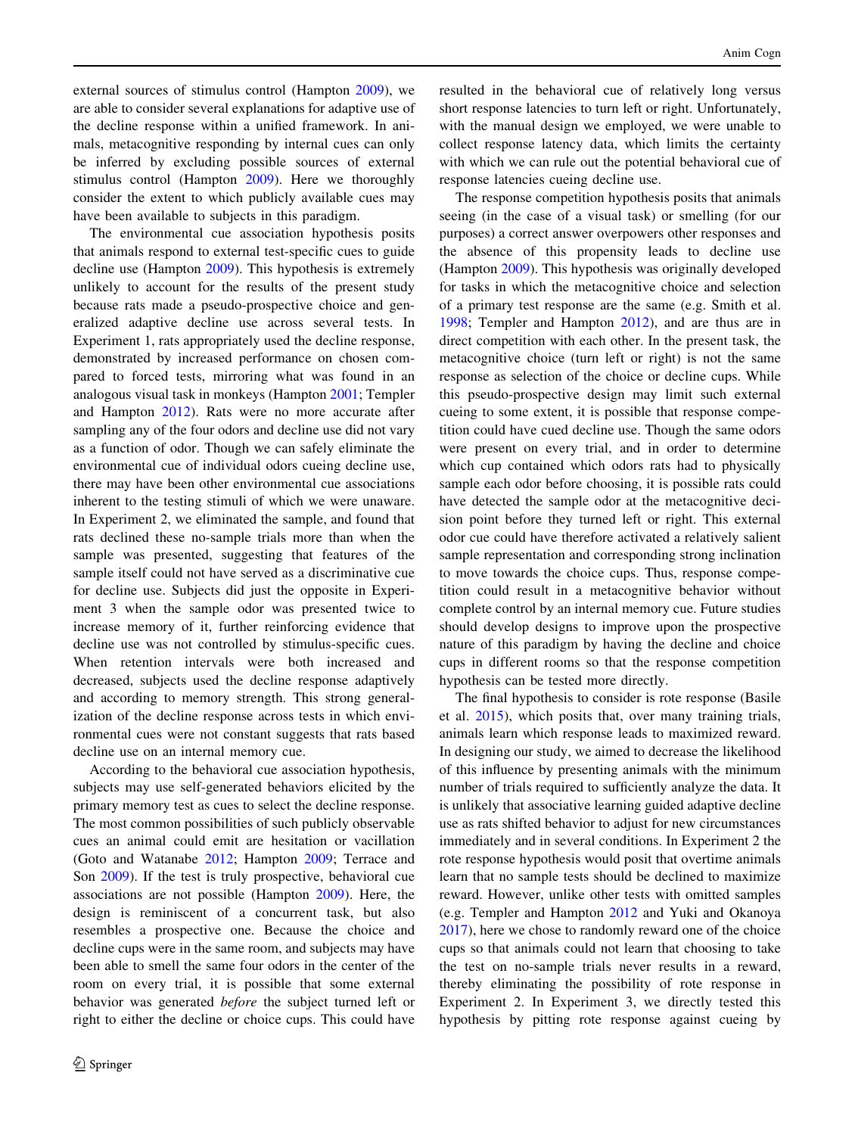external sources of stimulus control (Hampton [2009\)](#page-14-0), we are able to consider several explanations for adaptive use of the decline response within a unified framework. In animals, metacognitive responding by internal cues can only be inferred by excluding possible sources of external stimulus control (Hampton [2009](#page-14-0)). Here we thoroughly consider the extent to which publicly available cues may have been available to subjects in this paradigm.

The environmental cue association hypothesis posits that animals respond to external test-specific cues to guide decline use (Hampton [2009](#page-14-0)). This hypothesis is extremely unlikely to account for the results of the present study because rats made a pseudo-prospective choice and generalized adaptive decline use across several tests. In Experiment 1, rats appropriately used the decline response, demonstrated by increased performance on chosen compared to forced tests, mirroring what was found in an analogous visual task in monkeys (Hampton [2001](#page-14-0); Templer and Hampton [2012\)](#page-15-0). Rats were no more accurate after sampling any of the four odors and decline use did not vary as a function of odor. Though we can safely eliminate the environmental cue of individual odors cueing decline use, there may have been other environmental cue associations inherent to the testing stimuli of which we were unaware. In Experiment 2, we eliminated the sample, and found that rats declined these no-sample trials more than when the sample was presented, suggesting that features of the sample itself could not have served as a discriminative cue for decline use. Subjects did just the opposite in Experiment 3 when the sample odor was presented twice to increase memory of it, further reinforcing evidence that decline use was not controlled by stimulus-specific cues. When retention intervals were both increased and decreased, subjects used the decline response adaptively and according to memory strength. This strong generalization of the decline response across tests in which environmental cues were not constant suggests that rats based decline use on an internal memory cue.

According to the behavioral cue association hypothesis, subjects may use self-generated behaviors elicited by the primary memory test as cues to select the decline response. The most common possibilities of such publicly observable cues an animal could emit are hesitation or vacillation (Goto and Watanabe [2012;](#page-14-0) Hampton [2009;](#page-14-0) Terrace and Son [2009](#page-15-0)). If the test is truly prospective, behavioral cue associations are not possible (Hampton [2009](#page-14-0)). Here, the design is reminiscent of a concurrent task, but also resembles a prospective one. Because the choice and decline cups were in the same room, and subjects may have been able to smell the same four odors in the center of the room on every trial, it is possible that some external behavior was generated before the subject turned left or right to either the decline or choice cups. This could have resulted in the behavioral cue of relatively long versus short response latencies to turn left or right. Unfortunately, with the manual design we employed, we were unable to collect response latency data, which limits the certainty with which we can rule out the potential behavioral cue of response latencies cueing decline use.

The response competition hypothesis posits that animals seeing (in the case of a visual task) or smelling (for our purposes) a correct answer overpowers other responses and the absence of this propensity leads to decline use (Hampton [2009](#page-14-0)). This hypothesis was originally developed for tasks in which the metacognitive choice and selection of a primary test response are the same (e.g. Smith et al. [1998](#page-14-0); Templer and Hampton [2012\)](#page-15-0), and are thus are in direct competition with each other. In the present task, the metacognitive choice (turn left or right) is not the same response as selection of the choice or decline cups. While this pseudo-prospective design may limit such external cueing to some extent, it is possible that response competition could have cued decline use. Though the same odors were present on every trial, and in order to determine which cup contained which odors rats had to physically sample each odor before choosing, it is possible rats could have detected the sample odor at the metacognitive decision point before they turned left or right. This external odor cue could have therefore activated a relatively salient sample representation and corresponding strong inclination to move towards the choice cups. Thus, response competition could result in a metacognitive behavior without complete control by an internal memory cue. Future studies should develop designs to improve upon the prospective nature of this paradigm by having the decline and choice cups in different rooms so that the response competition hypothesis can be tested more directly.

The final hypothesis to consider is rote response (Basile et al. [2015](#page-13-0)), which posits that, over many training trials, animals learn which response leads to maximized reward. In designing our study, we aimed to decrease the likelihood of this influence by presenting animals with the minimum number of trials required to sufficiently analyze the data. It is unlikely that associative learning guided adaptive decline use as rats shifted behavior to adjust for new circumstances immediately and in several conditions. In Experiment 2 the rote response hypothesis would posit that overtime animals learn that no sample tests should be declined to maximize reward. However, unlike other tests with omitted samples (e.g. Templer and Hampton [2012](#page-15-0) and Yuki and Okanoya [2017](#page-15-0)), here we chose to randomly reward one of the choice cups so that animals could not learn that choosing to take the test on no-sample trials never results in a reward, thereby eliminating the possibility of rote response in Experiment 2. In Experiment 3, we directly tested this hypothesis by pitting rote response against cueing by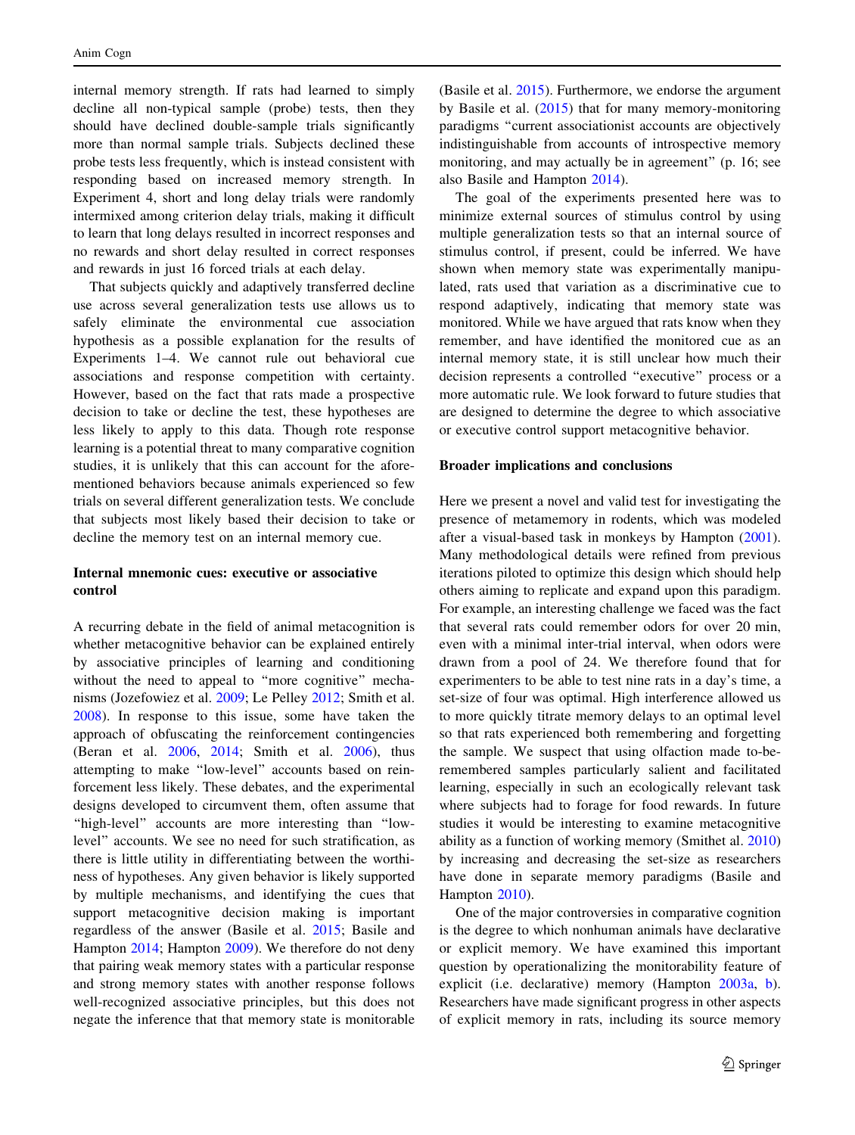internal memory strength. If rats had learned to simply decline all non-typical sample (probe) tests, then they should have declined double-sample trials significantly more than normal sample trials. Subjects declined these probe tests less frequently, which is instead consistent with responding based on increased memory strength. In Experiment 4, short and long delay trials were randomly intermixed among criterion delay trials, making it difficult to learn that long delays resulted in incorrect responses and no rewards and short delay resulted in correct responses and rewards in just 16 forced trials at each delay.

That subjects quickly and adaptively transferred decline use across several generalization tests use allows us to safely eliminate the environmental cue association hypothesis as a possible explanation for the results of Experiments 1–4. We cannot rule out behavioral cue associations and response competition with certainty. However, based on the fact that rats made a prospective decision to take or decline the test, these hypotheses are less likely to apply to this data. Though rote response learning is a potential threat to many comparative cognition studies, it is unlikely that this can account for the aforementioned behaviors because animals experienced so few trials on several different generalization tests. We conclude that subjects most likely based their decision to take or decline the memory test on an internal memory cue.

# Internal mnemonic cues: executive or associative control

A recurring debate in the field of animal metacognition is whether metacognitive behavior can be explained entirely by associative principles of learning and conditioning without the need to appeal to "more cognitive" mechanisms (Jozefowiez et al. [2009;](#page-14-0) Le Pelley [2012](#page-14-0); Smith et al. [2008\)](#page-14-0). In response to this issue, some have taken the approach of obfuscating the reinforcement contingencies (Beran et al. [2006](#page-13-0), [2014;](#page-13-0) Smith et al. [2006](#page-14-0)), thus attempting to make ''low-level'' accounts based on reinforcement less likely. These debates, and the experimental designs developed to circumvent them, often assume that "high-level" accounts are more interesting than "lowlevel'' accounts. We see no need for such stratification, as there is little utility in differentiating between the worthiness of hypotheses. Any given behavior is likely supported by multiple mechanisms, and identifying the cues that support metacognitive decision making is important regardless of the answer (Basile et al. [2015;](#page-13-0) Basile and Hampton [2014](#page-13-0); Hampton [2009\)](#page-14-0). We therefore do not deny that pairing weak memory states with a particular response and strong memory states with another response follows well-recognized associative principles, but this does not negate the inference that that memory state is monitorable

(Basile et al. [2015\)](#page-13-0). Furthermore, we endorse the argument by Basile et al. [\(2015](#page-13-0)) that for many memory-monitoring paradigms ''current associationist accounts are objectively indistinguishable from accounts of introspective memory monitoring, and may actually be in agreement" (p. 16; see also Basile and Hampton [2014](#page-13-0)).

The goal of the experiments presented here was to minimize external sources of stimulus control by using multiple generalization tests so that an internal source of stimulus control, if present, could be inferred. We have shown when memory state was experimentally manipulated, rats used that variation as a discriminative cue to respond adaptively, indicating that memory state was monitored. While we have argued that rats know when they remember, and have identified the monitored cue as an internal memory state, it is still unclear how much their decision represents a controlled ''executive'' process or a more automatic rule. We look forward to future studies that are designed to determine the degree to which associative or executive control support metacognitive behavior.

### Broader implications and conclusions

Here we present a novel and valid test for investigating the presence of metamemory in rodents, which was modeled after a visual-based task in monkeys by Hampton [\(2001](#page-14-0)). Many methodological details were refined from previous iterations piloted to optimize this design which should help others aiming to replicate and expand upon this paradigm. For example, an interesting challenge we faced was the fact that several rats could remember odors for over 20 min, even with a minimal inter-trial interval, when odors were drawn from a pool of 24. We therefore found that for experimenters to be able to test nine rats in a day's time, a set-size of four was optimal. High interference allowed us to more quickly titrate memory delays to an optimal level so that rats experienced both remembering and forgetting the sample. We suspect that using olfaction made to-beremembered samples particularly salient and facilitated learning, especially in such an ecologically relevant task where subjects had to forage for food rewards. In future studies it would be interesting to examine metacognitive ability as a function of working memory (Smithet al. [2010\)](#page-14-0) by increasing and decreasing the set-size as researchers have done in separate memory paradigms (Basile and Hampton [2010\)](#page-13-0).

One of the major controversies in comparative cognition is the degree to which nonhuman animals have declarative or explicit memory. We have examined this important question by operationalizing the monitorability feature of explicit (i.e. declarative) memory (Hampton [2003a](#page-14-0), [b](#page-14-0)). Researchers have made significant progress in other aspects of explicit memory in rats, including its source memory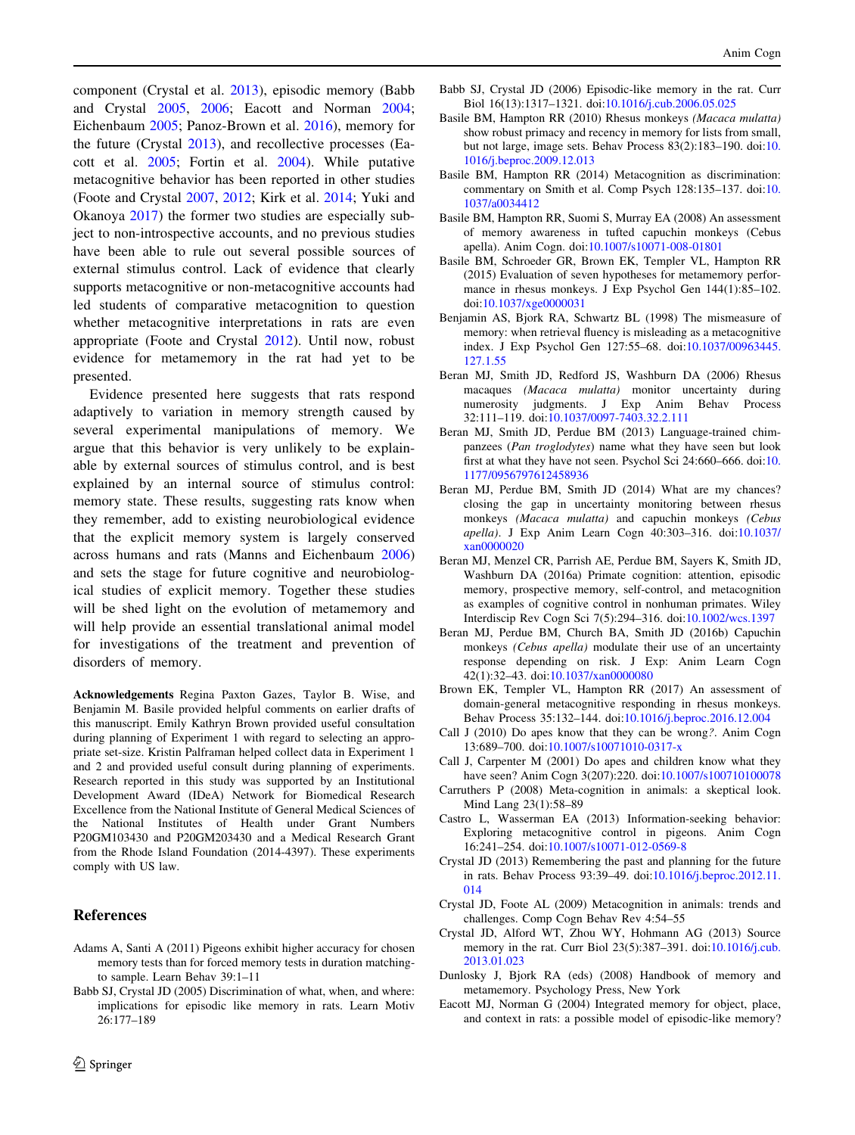<span id="page-13-0"></span>component (Crystal et al. 2013), episodic memory (Babb and Crystal 2005, 2006; Eacott and Norman 2004; Eichenbaum [2005](#page-14-0); Panoz-Brown et al. [2016\)](#page-14-0), memory for the future (Crystal 2013), and recollective processes (Eacott et al. [2005;](#page-14-0) Fortin et al. [2004](#page-14-0)). While putative metacognitive behavior has been reported in other studies (Foote and Crystal [2007,](#page-14-0) [2012](#page-14-0); Kirk et al. [2014;](#page-14-0) Yuki and Okanoya [2017](#page-15-0)) the former two studies are especially subject to non-introspective accounts, and no previous studies have been able to rule out several possible sources of external stimulus control. Lack of evidence that clearly supports metacognitive or non-metacognitive accounts had led students of comparative metacognition to question whether metacognitive interpretations in rats are even appropriate (Foote and Crystal [2012](#page-14-0)). Until now, robust evidence for metamemory in the rat had yet to be presented.

Evidence presented here suggests that rats respond adaptively to variation in memory strength caused by several experimental manipulations of memory. We argue that this behavior is very unlikely to be explainable by external sources of stimulus control, and is best explained by an internal source of stimulus control: memory state. These results, suggesting rats know when they remember, add to existing neurobiological evidence that the explicit memory system is largely conserved across humans and rats (Manns and Eichenbaum [2006\)](#page-14-0) and sets the stage for future cognitive and neurobiological studies of explicit memory. Together these studies will be shed light on the evolution of metamemory and will help provide an essential translational animal model for investigations of the treatment and prevention of disorders of memory.

Acknowledgements Regina Paxton Gazes, Taylor B. Wise, and Benjamin M. Basile provided helpful comments on earlier drafts of this manuscript. Emily Kathryn Brown provided useful consultation during planning of Experiment 1 with regard to selecting an appropriate set-size. Kristin Palframan helped collect data in Experiment 1 and 2 and provided useful consult during planning of experiments. Research reported in this study was supported by an Institutional Development Award (IDeA) Network for Biomedical Research Excellence from the National Institute of General Medical Sciences of the National Institutes of Health under Grant Numbers P20GM103430 and P20GM203430 and a Medical Research Grant from the Rhode Island Foundation (2014-4397). These experiments comply with US law.

# References

- Adams A, Santi A (2011) Pigeons exhibit higher accuracy for chosen memory tests than for forced memory tests in duration matchingto sample. Learn Behav 39:1–11
- Babb SJ, Crystal JD (2005) Discrimination of what, when, and where: implications for episodic like memory in rats. Learn Motiv 26:177–189
- Babb SJ, Crystal JD (2006) Episodic-like memory in the rat. Curr Biol 16(13):1317–1321. doi:[10.1016/j.cub.2006.05.025](http://dx.doi.org/10.1016/j.cub.2006.05.025)
- Basile BM, Hampton RR (2010) Rhesus monkeys (Macaca mulatta) show robust primacy and recency in memory for lists from small, but not large, image sets. Behav Process 83(2):183–190. doi:[10.](http://dx.doi.org/10.1016/j.beproc.2009.12.013) [1016/j.beproc.2009.12.013](http://dx.doi.org/10.1016/j.beproc.2009.12.013)
- Basile BM, Hampton RR (2014) Metacognition as discrimination: commentary on Smith et al. Comp Psych 128:135–137. doi:[10.](http://dx.doi.org/10.1037/a0034412) [1037/a0034412](http://dx.doi.org/10.1037/a0034412)
- Basile BM, Hampton RR, Suomi S, Murray EA (2008) An assessment of memory awareness in tufted capuchin monkeys (Cebus apella). Anim Cogn. doi:[10.1007/s10071-008-01801](http://dx.doi.org/10.1007/s10071-008-01801)
- Basile BM, Schroeder GR, Brown EK, Templer VL, Hampton RR (2015) Evaluation of seven hypotheses for metamemory performance in rhesus monkeys. J Exp Psychol Gen 144(1):85–102. doi[:10.1037/xge0000031](http://dx.doi.org/10.1037/xge0000031)
- Benjamin AS, Bjork RA, Schwartz BL (1998) The mismeasure of memory: when retrieval fluency is misleading as a metacognitive index. J Exp Psychol Gen 127:55–68. doi[:10.1037/00963445.](http://dx.doi.org/10.1037/00963445.127.1.55) [127.1.55](http://dx.doi.org/10.1037/00963445.127.1.55)
- Beran MJ, Smith JD, Redford JS, Washburn DA (2006) Rhesus macaques (Macaca mulatta) monitor uncertainty during numerosity judgments. J Exp Anim Behav Process 32:111–119. doi:[10.1037/0097-7403.32.2.111](http://dx.doi.org/10.1037/0097-7403.32.2.111)
- Beran MJ, Smith JD, Perdue BM (2013) Language-trained chimpanzees (Pan troglodytes) name what they have seen but look first at what they have not seen. Psychol Sci 24:660–666. doi:[10.](http://dx.doi.org/10.1177/0956797612458936) [1177/0956797612458936](http://dx.doi.org/10.1177/0956797612458936)
- Beran MJ, Perdue BM, Smith JD (2014) What are my chances? closing the gap in uncertainty monitoring between rhesus monkeys (Macaca mulatta) and capuchin monkeys (Cebus apella). J Exp Anim Learn Cogn 40:303–316. doi[:10.1037/](http://dx.doi.org/10.1037/xan0000020) [xan0000020](http://dx.doi.org/10.1037/xan0000020)
- Beran MJ, Menzel CR, Parrish AE, Perdue BM, Sayers K, Smith JD, Washburn DA (2016a) Primate cognition: attention, episodic memory, prospective memory, self-control, and metacognition as examples of cognitive control in nonhuman primates. Wiley Interdiscip Rev Cogn Sci 7(5):294–316. doi:[10.1002/wcs.1397](http://dx.doi.org/10.1002/wcs.1397)
- Beran MJ, Perdue BM, Church BA, Smith JD (2016b) Capuchin monkeys (Cebus apella) modulate their use of an uncertainty response depending on risk. J Exp: Anim Learn Cogn 42(1):32–43. doi[:10.1037/xan0000080](http://dx.doi.org/10.1037/xan0000080)
- Brown EK, Templer VL, Hampton RR (2017) An assessment of domain-general metacognitive responding in rhesus monkeys. Behav Process 35:132–144. doi[:10.1016/j.beproc.2016.12.004](http://dx.doi.org/10.1016/j.beproc.2016.12.004)
- Call J (2010) Do apes know that they can be wrong?. Anim Cogn 13:689–700. doi:[10.1007/s10071010-0317-x](http://dx.doi.org/10.1007/s10071010-0317-x)
- Call J, Carpenter M (2001) Do apes and children know what they have seen? Anim Cogn 3(207):220. doi[:10.1007/s100710100078](http://dx.doi.org/10.1007/s100710100078)
- Carruthers P (2008) Meta-cognition in animals: a skeptical look. Mind Lang 23(1):58–89
- Castro L, Wasserman EA (2013) Information-seeking behavior: Exploring metacognitive control in pigeons. Anim Cogn 16:241–254. doi:[10.1007/s10071-012-0569-8](http://dx.doi.org/10.1007/s10071-012-0569-8)
- Crystal JD (2013) Remembering the past and planning for the future in rats. Behav Process 93:39–49. doi:[10.1016/j.beproc.2012.11.](http://dx.doi.org/10.1016/j.beproc.2012.11.014) [014](http://dx.doi.org/10.1016/j.beproc.2012.11.014)
- Crystal JD, Foote AL (2009) Metacognition in animals: trends and challenges. Comp Cogn Behav Rev 4:54–55
- Crystal JD, Alford WT, Zhou WY, Hohmann AG (2013) Source memory in the rat. Curr Biol 23(5):387–391. doi[:10.1016/j.cub.](http://dx.doi.org/10.1016/j.cub.2013.01.023) [2013.01.023](http://dx.doi.org/10.1016/j.cub.2013.01.023)
- Dunlosky J, Bjork RA (eds) (2008) Handbook of memory and metamemory. Psychology Press, New York
- Eacott MJ, Norman G (2004) Integrated memory for object, place, and context in rats: a possible model of episodic-like memory?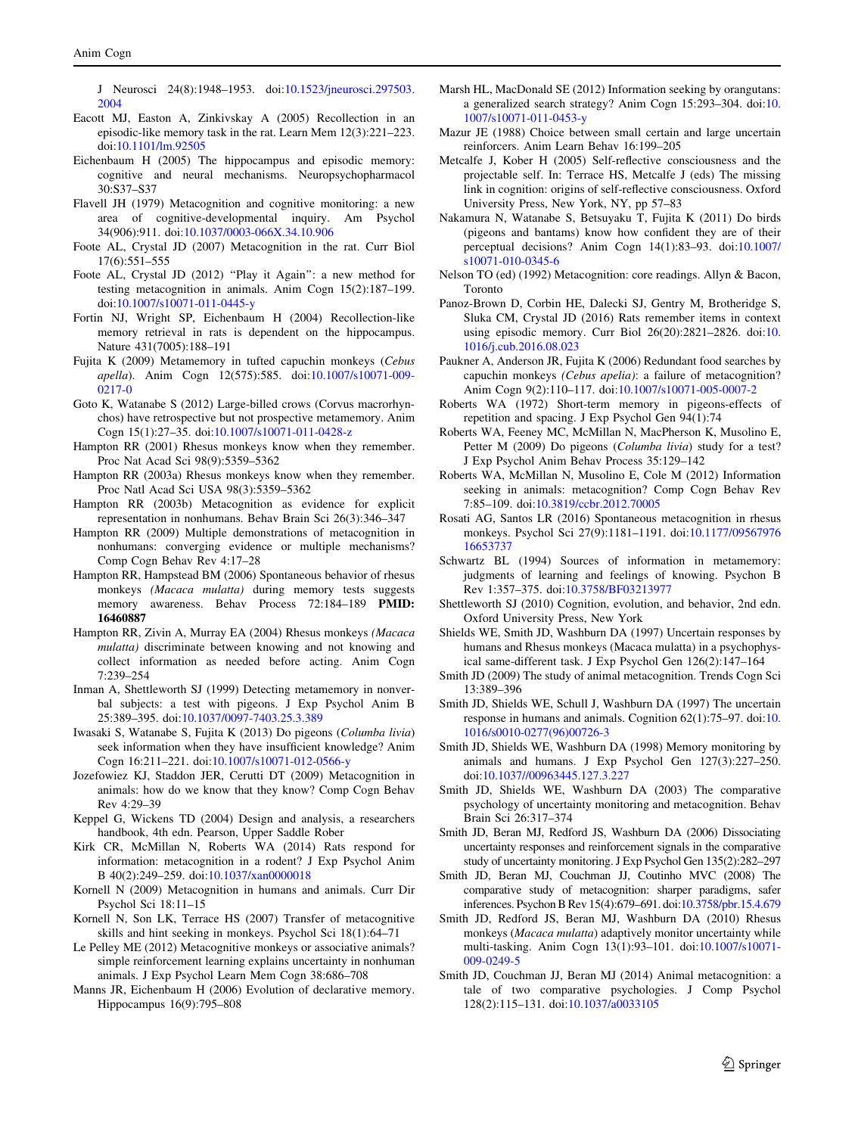<span id="page-14-0"></span>J Neurosci 24(8):1948–1953. doi[:10.1523/jneurosci.297503.](http://dx.doi.org/10.1523/jneurosci.297503.2004) [2004](http://dx.doi.org/10.1523/jneurosci.297503.2004)

- Eacott MJ, Easton A, Zinkivskay A (2005) Recollection in an episodic-like memory task in the rat. Learn Mem 12(3):221–223. doi[:10.1101/lm.92505](http://dx.doi.org/10.1101/lm.92505)
- Eichenbaum H (2005) The hippocampus and episodic memory: cognitive and neural mechanisms. Neuropsychopharmacol 30:S37–S37
- Flavell JH (1979) Metacognition and cognitive monitoring: a new area of cognitive-developmental inquiry. Am Psychol 34(906):911. doi[:10.1037/0003-066X.34.10.906](http://dx.doi.org/10.1037/0003-066X.34.10.906)
- Foote AL, Crystal JD (2007) Metacognition in the rat. Curr Biol 17(6):551–555
- Foote AL, Crystal JD (2012) "Play it Again": a new method for testing metacognition in animals. Anim Cogn 15(2):187–199. doi[:10.1007/s10071-011-0445-y](http://dx.doi.org/10.1007/s10071-011-0445-y)
- Fortin NJ, Wright SP, Eichenbaum H (2004) Recollection-like memory retrieval in rats is dependent on the hippocampus. Nature 431(7005):188–191
- Fujita K (2009) Metamemory in tufted capuchin monkeys (Cebus apella). Anim Cogn 12(575):585. doi[:10.1007/s10071-009-](http://dx.doi.org/10.1007/s10071-009-0217-0) [0217-0](http://dx.doi.org/10.1007/s10071-009-0217-0)
- Goto K, Watanabe S (2012) Large-billed crows (Corvus macrorhynchos) have retrospective but not prospective metamemory. Anim Cogn 15(1):27–35. doi[:10.1007/s10071-011-0428-z](http://dx.doi.org/10.1007/s10071-011-0428-z)
- Hampton RR (2001) Rhesus monkeys know when they remember. Proc Nat Acad Sci 98(9):5359–5362
- Hampton RR (2003a) Rhesus monkeys know when they remember. Proc Natl Acad Sci USA 98(3):5359–5362
- Hampton RR (2003b) Metacognition as evidence for explicit representation in nonhumans. Behav Brain Sci 26(3):346–347
- Hampton RR (2009) Multiple demonstrations of metacognition in nonhumans: converging evidence or multiple mechanisms? Comp Cogn Behav Rev 4:17–28
- Hampton RR, Hampstead BM (2006) Spontaneous behavior of rhesus monkeys (Macaca mulatta) during memory tests suggests memory awareness. Behav Process 72:184–189 PMID: 16460887
- Hampton RR, Zivin A, Murray EA (2004) Rhesus monkeys (Macaca mulatta) discriminate between knowing and not knowing and collect information as needed before acting. Anim Cogn 7:239–254
- Inman A, Shettleworth SJ (1999) Detecting metamemory in nonverbal subjects: a test with pigeons. J Exp Psychol Anim B 25:389–395. doi:[10.1037/0097-7403.25.3.389](http://dx.doi.org/10.1037/0097-7403.25.3.389)
- Iwasaki S, Watanabe S, Fujita K (2013) Do pigeons (Columba livia) seek information when they have insufficient knowledge? Anim Cogn 16:211–221. doi:[10.1007/s10071-012-0566-y](http://dx.doi.org/10.1007/s10071-012-0566-y)
- Jozefowiez KJ, Staddon JER, Cerutti DT (2009) Metacognition in animals: how do we know that they know? Comp Cogn Behav Rev 4:29–39
- Keppel G, Wickens TD (2004) Design and analysis, a researchers handbook, 4th edn. Pearson, Upper Saddle Rober
- Kirk CR, McMillan N, Roberts WA (2014) Rats respond for information: metacognition in a rodent? J Exp Psychol Anim B 40(2):249–259. doi[:10.1037/xan0000018](http://dx.doi.org/10.1037/xan0000018)
- Kornell N (2009) Metacognition in humans and animals. Curr Dir Psychol Sci 18:11–15
- Kornell N, Son LK, Terrace HS (2007) Transfer of metacognitive skills and hint seeking in monkeys. Psychol Sci 18(1):64–71
- Le Pelley ME (2012) Metacognitive monkeys or associative animals? simple reinforcement learning explains uncertainty in nonhuman animals. J Exp Psychol Learn Mem Cogn 38:686–708
- Manns JR, Eichenbaum H (2006) Evolution of declarative memory. Hippocampus 16(9):795–808
- Marsh HL, MacDonald SE (2012) Information seeking by orangutans: a generalized search strategy? Anim Cogn 15:293–304. doi:[10.](http://dx.doi.org/10.1007/s10071-011-0453-y) [1007/s10071-011-0453-y](http://dx.doi.org/10.1007/s10071-011-0453-y)
- Mazur JE (1988) Choice between small certain and large uncertain reinforcers. Anim Learn Behav 16:199–205
- Metcalfe J, Kober H (2005) Self-reflective consciousness and the projectable self. In: Terrace HS, Metcalfe J (eds) The missing link in cognition: origins of self-reflective consciousness. Oxford University Press, New York, NY, pp 57–83
- Nakamura N, Watanabe S, Betsuyaku T, Fujita K (2011) Do birds (pigeons and bantams) know how confident they are of their perceptual decisions? Anim Cogn 14(1):83–93. doi[:10.1007/](http://dx.doi.org/10.1007/s10071-010-0345-6) [s10071-010-0345-6](http://dx.doi.org/10.1007/s10071-010-0345-6)
- Nelson TO (ed) (1992) Metacognition: core readings. Allyn & Bacon, Toronto
- Panoz-Brown D, Corbin HE, Dalecki SJ, Gentry M, Brotheridge S, Sluka CM, Crystal JD (2016) Rats remember items in context using episodic memory. Curr Biol 26(20):2821–2826. doi:[10.](http://dx.doi.org/10.1016/j.cub.2016.08.023) [1016/j.cub.2016.08.023](http://dx.doi.org/10.1016/j.cub.2016.08.023)
- Paukner A, Anderson JR, Fujita K (2006) Redundant food searches by capuchin monkeys (Cebus apelia): a failure of metacognition? Anim Cogn 9(2):110–117. doi:[10.1007/s10071-005-0007-2](http://dx.doi.org/10.1007/s10071-005-0007-2)
- Roberts WA (1972) Short-term memory in pigeons-effects of repetition and spacing. J Exp Psychol Gen 94(1):74
- Roberts WA, Feeney MC, McMillan N, MacPherson K, Musolino E, Petter M (2009) Do pigeons (Columba livia) study for a test? J Exp Psychol Anim Behav Process 35:129–142
- Roberts WA, McMillan N, Musolino E, Cole M (2012) Information seeking in animals: metacognition? Comp Cogn Behav Rev 7:85–109. doi[:10.3819/ccbr.2012.70005](http://dx.doi.org/10.3819/ccbr.2012.70005)
- Rosati AG, Santos LR (2016) Spontaneous metacognition in rhesus monkeys. Psychol Sci 27(9):1181–1191. doi[:10.1177/09567976](http://dx.doi.org/10.1177/0956797616653737) [16653737](http://dx.doi.org/10.1177/0956797616653737)
- Schwartz BL (1994) Sources of information in metamemory: judgments of learning and feelings of knowing. Psychon B Rev 1:357–375. doi[:10.3758/BF03213977](http://dx.doi.org/10.3758/BF03213977)
- Shettleworth SJ (2010) Cognition, evolution, and behavior, 2nd edn. Oxford University Press, New York
- Shields WE, Smith JD, Washburn DA (1997) Uncertain responses by humans and Rhesus monkeys (Macaca mulatta) in a psychophysical same-different task. J Exp Psychol Gen 126(2):147–164
- Smith JD (2009) The study of animal metacognition. Trends Cogn Sci 13:389–396
- Smith JD, Shields WE, Schull J, Washburn DA (1997) The uncertain response in humans and animals. Cognition 62(1):75–97. doi:[10.](http://dx.doi.org/10.1016/s0010-0277(96)00726-3) [1016/s0010-0277\(96\)00726-3](http://dx.doi.org/10.1016/s0010-0277(96)00726-3)
- Smith JD, Shields WE, Washburn DA (1998) Memory monitoring by animals and humans. J Exp Psychol Gen 127(3):227–250. doi[:10.1037//00963445.127.3.227](http://dx.doi.org/10.1037//00963445.127.3.227)
- Smith JD, Shields WE, Washburn DA (2003) The comparative psychology of uncertainty monitoring and metacognition. Behav Brain Sci 26:317–374
- Smith JD, Beran MJ, Redford JS, Washburn DA (2006) Dissociating uncertainty responses and reinforcement signals in the comparative study of uncertainty monitoring. J Exp Psychol Gen 135(2):282–297
- Smith JD, Beran MJ, Couchman JJ, Coutinho MVC (2008) The comparative study of metacognition: sharper paradigms, safer inferences. Psychon B Rev 15(4):679–691. doi:[10.3758/pbr.15.4.679](http://dx.doi.org/10.3758/pbr.15.4.679)
- Smith JD, Redford JS, Beran MJ, Washburn DA (2010) Rhesus monkeys (Macaca mulatta) adaptively monitor uncertainty while multi-tasking. Anim Cogn 13(1):93–101. doi[:10.1007/s10071-](http://dx.doi.org/10.1007/s10071-009-0249-5) [009-0249-5](http://dx.doi.org/10.1007/s10071-009-0249-5)
- Smith JD, Couchman JJ, Beran MJ (2014) Animal metacognition: a tale of two comparative psychologies. J Comp Psychol 128(2):115–131. doi:[10.1037/a0033105](http://dx.doi.org/10.1037/a0033105)